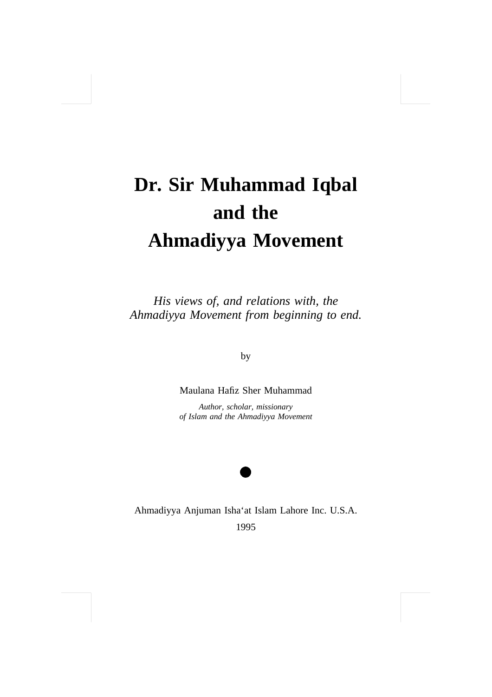# **Dr. Sir Muhammad Iqbal and the Ahmadiyya Movement**

*His views of, and relations with, the Ahmadiyya Movement from beginning to end.*

by

Maulana Hafiz Sher Muhammad

*Author, scholar, missionary of Islam and the Ahmadiyya Movement*



Ahmadiyya Anjuman Isha'at Islam Lahore Inc. U.S.A.

1995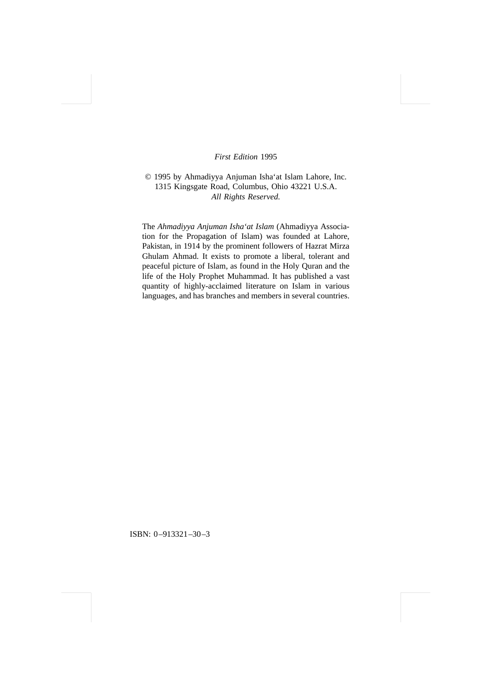#### *First Edition* 1995

#### © 1995 by Ahmadiyya Anjuman Isha'at Islam Lahore, Inc. 1315 Kingsgate Road, Columbus, Ohio 43221 U.S.A. *All Rights Reserved.*

The *Ahmadiyya Anjuman Isha'at Islam* (Ahmadiyya Association for the Propagation of Islam) was founded at Lahore, Pakistan, in 1914 by the prominent followers of Hazrat Mirza Ghulam Ahmad. It exists to promote a liberal, tolerant and peaceful picture of Islam, as found in the Holy Quran and the life of the Holy Prophet Muhammad. It has published a vast quantity of highly-acclaimed literature on Islam in various languages, and has branches and members in several countries.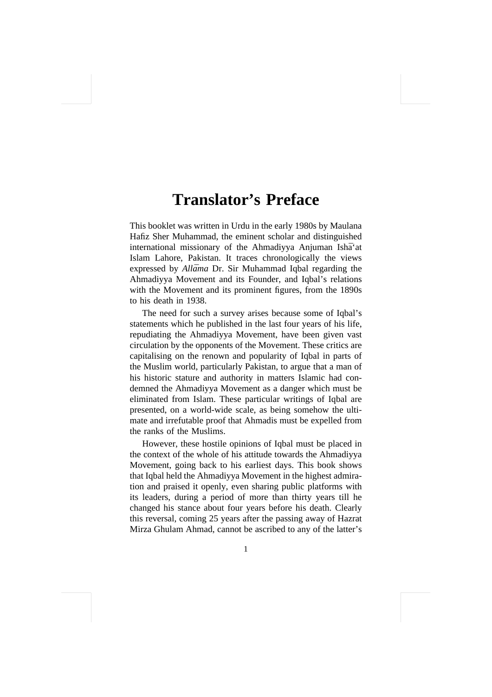# **Translator's Preface**

This booklet was written in Urdu in the early 1980s by Maulana Hafiz Sher Muhammad, the eminent scholar and distinguished international missionary of the Ahmadiyya Anjuman Isha<sup>s</sup>at Islam Lahore, Pakistan. It traces chronologically the views expressed by *Allāma* Dr. Sir Muhammad Iqbal regarding the Ahmadiyya Movement and its Founder, and Iqbal's relations with the Movement and its prominent figures, from the 1890s to his death in 1938.

The need for such a survey arises because some of Iqbal's statements which he published in the last four years of his life, repudiating the Ahmadiyya Movement, have been given vast circulation by the opponents of the Movement. These critics are capitalising on the renown and popularity of Iqbal in parts of the Muslim world, particularly Pakistan, to argue that a man of his historic stature and authority in matters Islamic had condemned the Ahmadiyya Movement as a danger which must be eliminated from Islam. These particular writings of Iqbal are presented, on a world-wide scale, as being somehow the ultimate and irrefutable proof that Ahmadis must be expelled from the ranks of the Muslims.

However, these hostile opinions of Iqbal must be placed in the context of the whole of his attitude towards the Ahmadiyya Movement, going back to his earliest days. This book shows that Iqbal held the Ahmadiyya Movement in the highest admiration and praised it openly, even sharing public platforms with its leaders, during a period of more than thirty years till he changed his stance about four years before his death. Clearly this reversal, coming 25 years after the passing away of Hazrat Mirza Ghulam Ahmad, cannot be ascribed to any of the latter's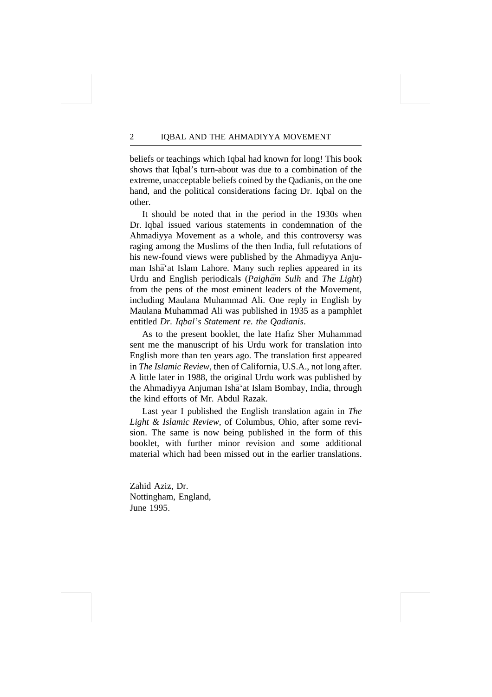beliefs or teachings which Iqbal had known for long! This book shows that Iqbal's turn-about was due to a combination of the extreme, unacceptable beliefs coined by the Qadianis, on the one hand, and the political considerations facing Dr. Iqbal on the other.

It should be noted that in the period in the 1930s when Dr. Iqbal issued various statements in condemnation of the Ahmadiyya Movement as a whole, and this controversy was raging among the Muslims of the then India, full refutations of his new-found views were published by the Ahmadiyya Anjuman Ishāʿat Islam Lahore. Many such replies appeared in its Urdu and English periodicals (*Paigham Sulh* and *The Light*) from the pens of the most eminent leaders of the Movement, including Maulana Muhammad Ali. One reply in English by Maulana Muhammad Ali was published in 1935 as a pamphlet entitled *Dr. Iqbal's Statement re. the Qadianis*.

As to the present booklet, the late Hafiz Sher Muhammad sent me the manuscript of his Urdu work for translation into English more than ten years ago. The translation first appeared in *The Islamic Review,* then of California, U.S.A., not long after. A little later in 1988, the original Urdu work was published by the Ahmadiyya Anjuman Ishã 'at Islam Bombay, India, through the kind efforts of Mr. Abdul Razak.

Last year I published the English translation again in *The Light & Islamic Review,* of Columbus, Ohio, after some revision. The same is now being published in the form of this booklet, with further minor revision and some additional material which had been missed out in the earlier translations.

Zahid Aziz, Dr. Nottingham, England, June 1995.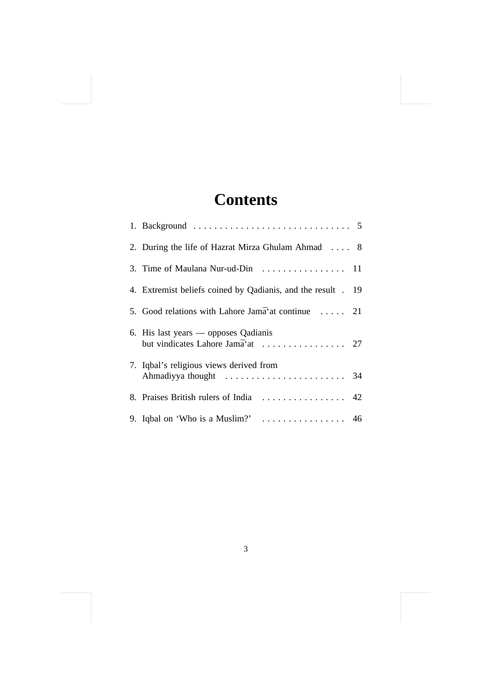# **Contents**

| 2. During the life of Hazrat Mirza Ghulam Ahmad  8                |  |
|-------------------------------------------------------------------|--|
| 3. Time of Maulana Nur-ud-Din  11                                 |  |
| 4. Extremist beliefs coined by Qadianis, and the result . 19      |  |
| 5. Good relations with Lahore Jama <sup>s</sup> at continue  21   |  |
| 6. His last years — opposes Qadianis                              |  |
| 7. Iqbal's religious views derived from                           |  |
| 8. Praises British rulers of India  42                            |  |
| 9. Iqbal on 'Who is a Muslim?' $\dots \dots \dots \dots \dots$ 46 |  |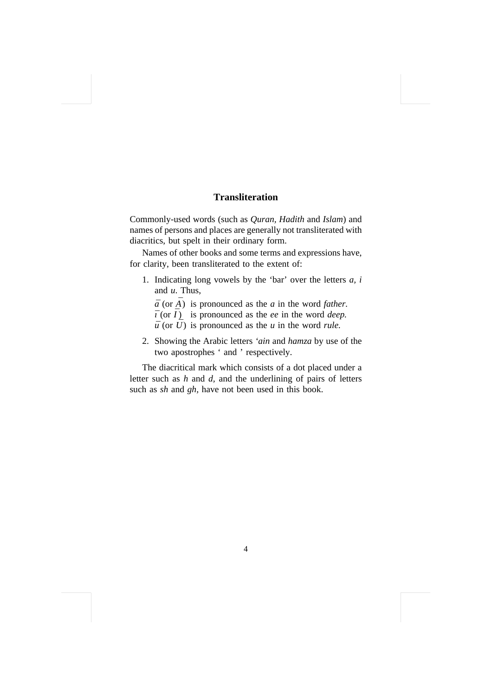#### **Transliteration**

Commonly-used words (such as *Quran, Hadith* and *Islam*) and names of persons and places are generally not transliterated with diacritics, but spelt in their ordinary form.

Names of other books and some terms and expressions have, for clarity, been transliterated to the extent of:

- 1. Indicating long vowels by the 'bar' over the letters *a, i* and *u*. Thus,
	- $\bar{a}$  (or  $\bar{A}$ ) is pronounced as the *a* in the word *father*.
	- $\bar{i}$  (or  $\bar{i}$ ) is pronounced as the *ee* in the word *deep*.
	- $\bar{u}$  (or  $\bar{U}$ ) is pronounced as the *u* in the word *rule*.
- 2. Showing the Arabic letters *'ain* and *hamza* by use of the two apostrophes ' and ' respectively.

The diacritical mark which consists of a dot placed under a letter such as *h* and *d,* and the underlining of pairs of letters such as *sh* and *gh,* have not been used in this book.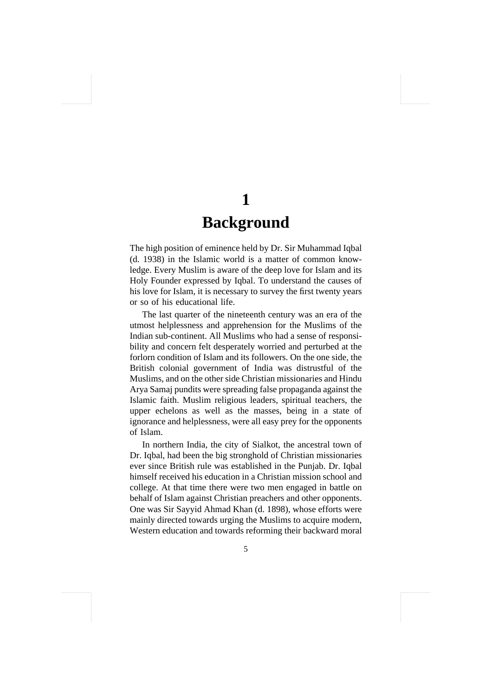# **1 Background**

The high position of eminence held by Dr. Sir Muhammad Iqbal (d. 1938) in the Islamic world is a matter of common knowledge. Every Muslim is aware of the deep love for Islam and its Holy Founder expressed by Iqbal. To understand the causes of his love for Islam, it is necessary to survey the first twenty years or so of his educational life.

The last quarter of the nineteenth century was an era of the utmost helplessness and apprehension for the Muslims of the Indian sub-continent. All Muslims who had a sense of responsibility and concern felt desperately worried and perturbed at the forlorn condition of Islam and its followers. On the one side, the British colonial government of India was distrustful of the Muslims, and on the other side Christian missionaries and Hindu Arya Samaj pundits were spreading false propaganda against the Islamic faith. Muslim religious leaders, spiritual teachers, the upper echelons as well as the masses, being in a state of ignorance and helplessness, were all easy prey for the opponents of Islam.

In northern India, the city of Sialkot, the ancestral town of Dr. Iqbal, had been the big stronghold of Christian missionaries ever since British rule was established in the Punjab. Dr. Iqbal himself received his education in a Christian mission school and college. At that time there were two men engaged in battle on behalf of Islam against Christian preachers and other opponents. One was Sir Sayyid Ahmad Khan (d. 1898), whose efforts were mainly directed towards urging the Muslims to acquire modern, Western education and towards reforming their backward moral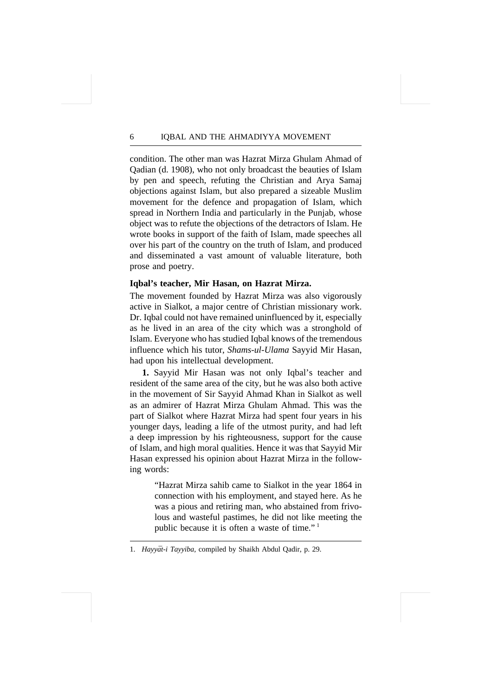condition. The other man was Hazrat Mirza Ghulam Ahmad of Qadian (d. 1908), who not only broadcast the beauties of Islam by pen and speech, refuting the Christian and Arya Samaj objections against Islam, but also prepared a sizeable Muslim movement for the defence and propagation of Islam, which spread in Northern India and particularly in the Punjab, whose object was to refute the objections of the detractors of Islam. He wrote books in support of the faith of Islam, made speeches all over his part of the country on the truth of Islam, and produced and disseminated a vast amount of valuable literature, both prose and poetry.

#### **Iqbal's teacher, Mir Hasan, on Hazrat Mirza.**

The movement founded by Hazrat Mirza was also vigorously active in Sialkot, a major centre of Christian missionary work. Dr. Iqbal could not have remained uninfluenced by it, especially as he lived in an area of the city which was a stronghold of Islam. Everyone who has studied Iqbal knows of the tremendous influence which his tutor, *Shams-ul-Ulama* Sayyid Mir Hasan, had upon his intellectual development.

**1.** Sayyid Mir Hasan was not only Iqbal's teacher and resident of the same area of the city, but he was also both active in the movement of Sir Sayyid Ahmad Khan in Sialkot as well as an admirer of Hazrat Mirza Ghulam Ahmad. This was the part of Sialkot where Hazrat Mirza had spent four years in his younger days, leading a life of the utmost purity, and had left a deep impression by his righteousness, support for the cause of Islam, and high moral qualities. Hence it was that Sayyid Mir Hasan expressed his opinion about Hazrat Mirza in the following words:

> "Hazrat Mirza sahib came to Sialkot in the year 1864 in connection with his employment, and stayed here. As he was a pious and retiring man, who abstained from frivolous and wasteful pastimes, he did not like meeting the public because it is often a waste of time." <sup>1</sup>

<sup>1.</sup> *Hayyāt-i Tayyiba, compiled by Shaikh Abdul Qadir, p. 29.*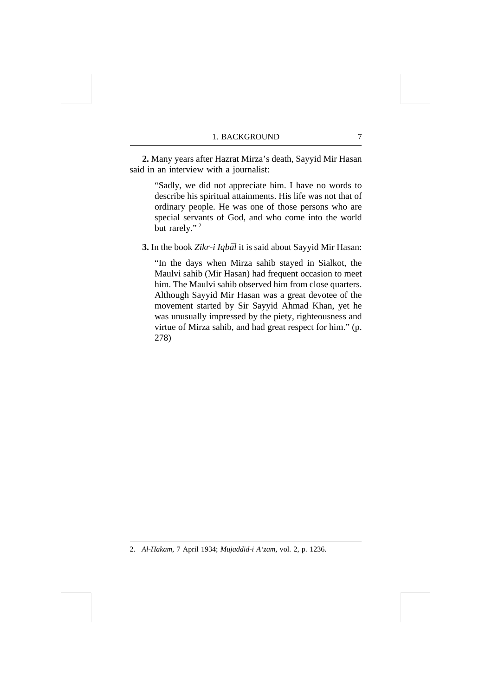**2.** Many years after Hazrat Mirza's death, Sayyid Mir Hasan said in an interview with a journalist:

> "Sadly, we did not appreciate him. I have no words to describe his spiritual attainments. His life was not that of ordinary people. He was one of those persons who are special servants of God, and who come into the world but rarely."<sup>2</sup>

**3.** In the book *Zikr-i Iqbāl* it is said about Sayyid Mir Hasan:

"In the days when Mirza sahib stayed in Sialkot, the Maulvi sahib (Mir Hasan) had frequent occasion to meet him. The Maulvi sahib observed him from close quarters. Although Sayyid Mir Hasan was a great devotee of the movement started by Sir Sayyid Ahmad Khan, yet he was unusually impressed by the piety, righteousness and virtue of Mirza sahib, and had great respect for him." (p. 278)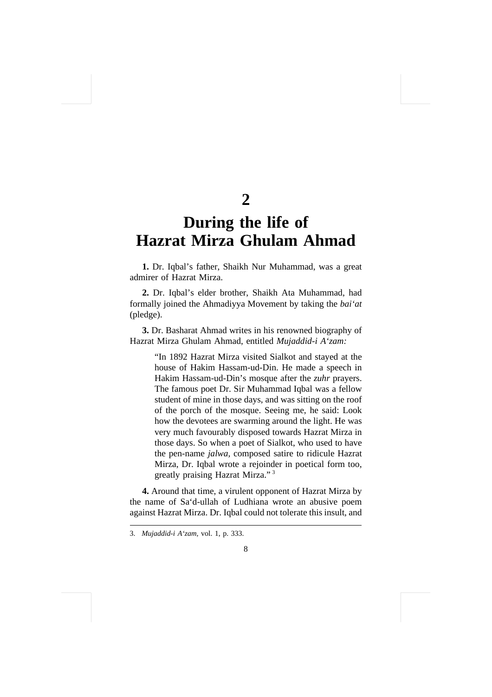### **2**

# **During the life of Hazrat Mirza Ghulam Ahmad**

**1.** Dr. Iqbal's father, Shaikh Nur Muhammad, was a great admirer of Hazrat Mirza.

**2.** Dr. Iqbal's elder brother, Shaikh Ata Muhammad, had formally joined the Ahmadiyya Movement by taking the *bai'at* (pledge).

**3.** Dr. Basharat Ahmad writes in his renowned biography of Hazrat Mirza Ghulam Ahmad, entitled *Mujaddid-i A'zam:*

> "In 1892 Hazrat Mirza visited Sialkot and stayed at the house of Hakim Hassam-ud-Din. He made a speech in Hakim Hassam-ud-Din's mosque after the *zuhr* prayers. The famous poet Dr. Sir Muhammad Iqbal was a fellow student of mine in those days, and was sitting on the roof of the porch of the mosque. Seeing me, he said: Look how the devotees are swarming around the light. He was very much favourably disposed towards Hazrat Mirza in those days. So when a poet of Sialkot, who used to have the pen-name *jalwa,* composed satire to ridicule Hazrat Mirza, Dr. Iqbal wrote a rejoinder in poetical form too, greatly praising Hazrat Mirza." <sup>3</sup>

**4.** Around that time, a virulent opponent of Hazrat Mirza by the name of Sa'd-ullah of Ludhiana wrote an abusive poem against Hazrat Mirza. Dr. Iqbal could not tolerate this insult, and

<sup>3.</sup> *Mujaddid-i A'zam,* vol. 1, p. 333.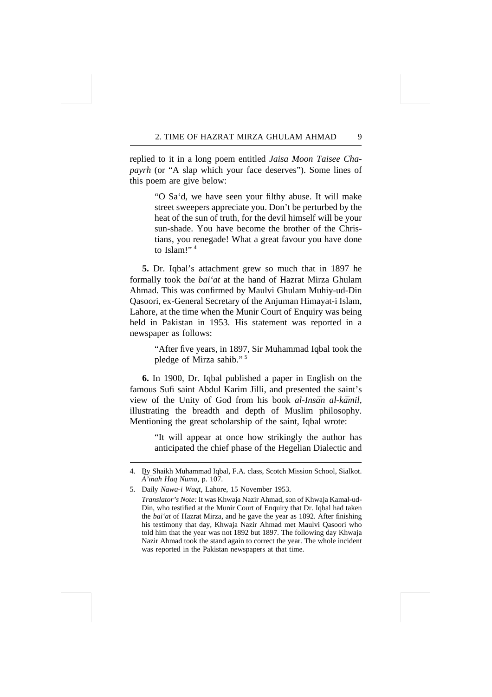replied to it in a long poem entitled *Jaisa Moon Taisee Chapayrh* (or "A slap which your face deserves"). Some lines of this poem are give below:

> "O Sa'd, we have seen your filthy abuse. It will make street sweepers appreciate you. Don't be perturbed by the heat of the sun of truth, for the devil himself will be your sun-shade. You have become the brother of the Christians, you renegade! What a great favour you have done to Islam!" $4$

**5.** Dr. Iqbal's attachment grew so much that in 1897 he formally took the *bai'at* at the hand of Hazrat Mirza Ghulam Ahmad. This was confirmed by Maulvi Ghulam Muhiy-ud-Din Qasoori, ex-General Secretary of the Anjuman Himayat-i Islam, Lahore, at the time when the Munir Court of Enquiry was being held in Pakistan in 1953. His statement was reported in a newspaper as follows:

> "After five years, in 1897, Sir Muhammad Iqbal took the pledge of Mirza sahib." <sup>5</sup>

**6.** In 1900, Dr. Iqbal published a paper in English on the famous Sufi saint Abdul Karim Jilli, and presented the saint's view of the Unity of God from his book *al-Insān al-kāmil*, illustrating the breadth and depth of Muslim philosophy. Mentioning the great scholarship of the saint, Iqbal wrote:

> "It will appear at once how strikingly the author has anticipated the chief phase of the Hegelian Dialectic and

5. Daily *Nawa-i Waqt,* Lahore, 15 November 1953.

<sup>4.</sup> By Shaikh Muhammad Iqbal, F.A. class, Scotch Mission School, Sialkot. *A¯'ı¯nah Haq Numa,* p. 107.

*Translator's Note:* It was Khwaja Nazir Ahmad, son of Khwaja Kamal-ud-Din, who testified at the Munir Court of Enquiry that Dr. Iqbal had taken the *bai'at* of Hazrat Mirza, and he gave the year as 1892. After finishing his testimony that day, Khwaja Nazir Ahmad met Maulvi Qasoori who told him that the year was not 1892 but 1897. The following day Khwaja Nazir Ahmad took the stand again to correct the year. The whole incident was reported in the Pakistan newspapers at that time.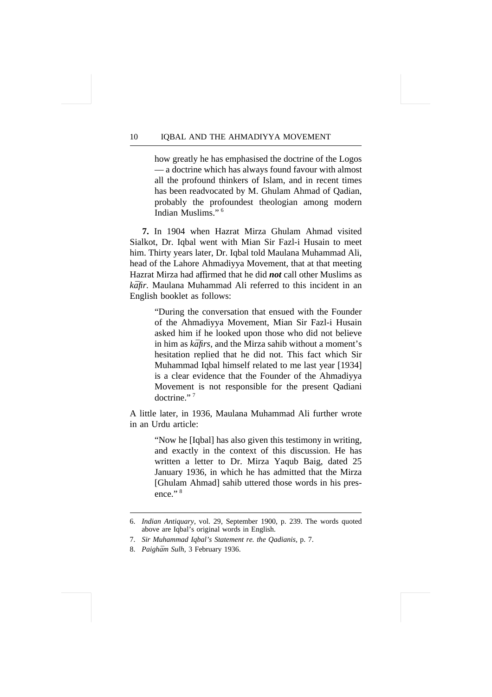how greatly he has emphasised the doctrine of the Logos — a doctrine which has always found favour with almost all the profound thinkers of Islam, and in recent times has been readvocated by M. Ghulam Ahmad of Qadian, probably the profoundest theologian among modern Indian Muslims." <sup>6</sup>

**7.** In 1904 when Hazrat Mirza Ghulam Ahmad visited Sialkot, Dr. Iqbal went with Mian Sir Fazl-i Husain to meet him. Thirty years later, Dr. Iqbal told Maulana Muhammad Ali, head of the Lahore Ahmadiyya Movement, that at that meeting Hazrat Mirza had affirmed that he did *not* call other Muslims as kafir. Maulana Muhammad Ali referred to this incident in an English booklet as follows:

> "During the conversation that ensued with the Founder of the Ahmadiyya Movement, Mian Sir Fazl-i Husain asked him if he looked upon those who did not believe in him as *kāfirs*, and the Mirza sahib without a moment's hesitation replied that he did not. This fact which Sir Muhammad Iqbal himself related to me last year [1934] is a clear evidence that the Founder of the Ahmadiyya Movement is not responsible for the present Qadiani doctrine." <sup>7</sup>

A little later, in 1936, Maulana Muhammad Ali further wrote in an Urdu article:

> "Now he [Iqbal] has also given this testimony in writing, and exactly in the context of this discussion. He has written a letter to Dr. Mirza Yaqub Baig, dated 25 January 1936, in which he has admitted that the Mirza [Ghulam Ahmad] sahib uttered those words in his presence."<sup>8</sup>

<sup>6.</sup> *Indian Antiquary,* vol. 29, September 1900, p. 239. The words quoted above are Iqbal's original words in English.

<sup>7.</sup> *Sir Muhammad Iqbal's Statement re. the Qadianis,* p. 7.

<sup>8.</sup> Paighām Sulh, 3 February 1936.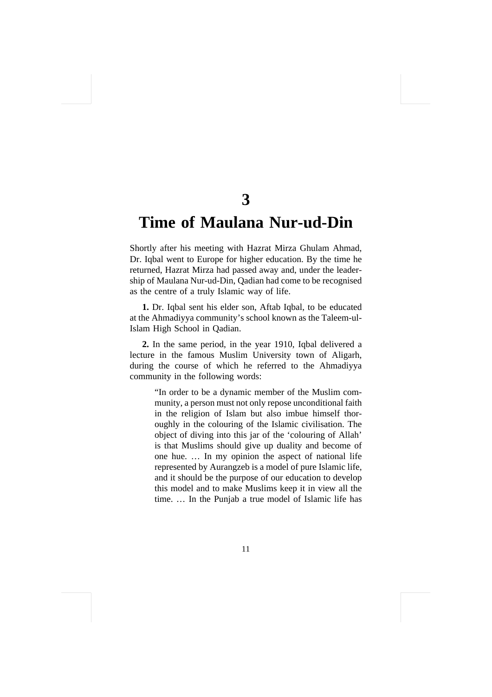### **3**

# **Time of Maulana Nur-ud-Din**

Shortly after his meeting with Hazrat Mirza Ghulam Ahmad, Dr. Iqbal went to Europe for higher education. By the time he returned, Hazrat Mirza had passed away and, under the leadership of Maulana Nur-ud-Din, Qadian had come to be recognised as the centre of a truly Islamic way of life.

**1.** Dr. Iqbal sent his elder son, Aftab Iqbal, to be educated at the Ahmadiyya community's school known as the Taleem-ul-Islam High School in Qadian.

**2.** In the same period, in the year 1910, Iqbal delivered a lecture in the famous Muslim University town of Aligarh, during the course of which he referred to the Ahmadiyya community in the following words:

> "In order to be a dynamic member of the Muslim community, a person must not only repose unconditional faith in the religion of Islam but also imbue himself thoroughly in the colouring of the Islamic civilisation. The object of diving into this jar of the 'colouring of Allah' is that Muslims should give up duality and become of one hue. … In my opinion the aspect of national life represented by Aurangzeb is a model of pure Islamic life, and it should be the purpose of our education to develop this model and to make Muslims keep it in view all the time. … In the Punjab a true model of Islamic life has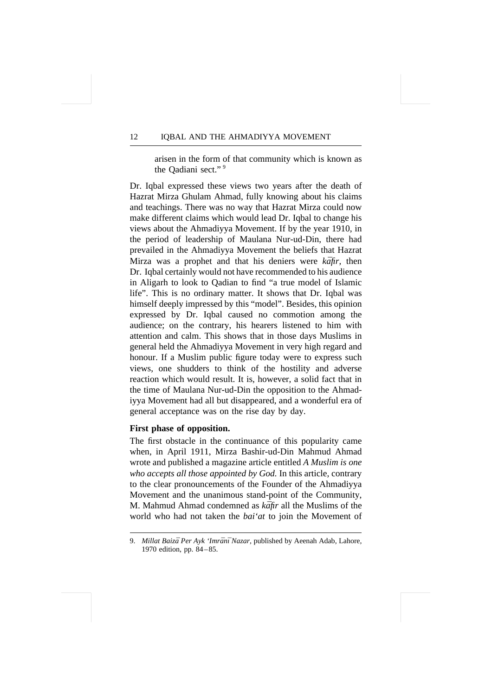arisen in the form of that community which is known as the Qadiani sect." <sup>9</sup>

Dr. Iqbal expressed these views two years after the death of Hazrat Mirza Ghulam Ahmad, fully knowing about his claims and teachings. There was no way that Hazrat Mirza could now make different claims which would lead Dr. Iqbal to change his views about the Ahmadiyya Movement. If by the year 1910, in the period of leadership of Maulana Nur-ud-Din, there had prevailed in the Ahmadiyya Movement the beliefs that Hazrat Mirza was a prophet and that his deniers were *kafir*, then Dr. Iqbal certainly would not have recommended to his audience in Aligarh to look to Qadian to find "a true model of Islamic life". This is no ordinary matter. It shows that Dr. Iqbal was himself deeply impressed by this "model". Besides, this opinion expressed by Dr. Iqbal caused no commotion among the audience; on the contrary, his hearers listened to him with attention and calm. This shows that in those days Muslims in general held the Ahmadiyya Movement in very high regard and honour. If a Muslim public figure today were to express such views, one shudders to think of the hostility and adverse reaction which would result. It is, however, a solid fact that in the time of Maulana Nur-ud-Din the opposition to the Ahmadiyya Movement had all but disappeared, and a wonderful era of general acceptance was on the rise day by day.

#### **First phase of opposition.**

The first obstacle in the continuance of this popularity came when, in April 1911, Mirza Bashir-ud-Din Mahmud Ahmad wrote and published a magazine article entitled *A Muslim is one who accepts all those appointed by God.* In this article, contrary to the clear pronouncements of the Founder of the Ahmadiyya Movement and the unanimous stand-point of the Community, M. Mahmud Ahmad condemned as  $k\bar{a}$ fir all the Muslims of the world who had not taken the *bai'at* to join the Movement of

<sup>9.</sup> *Millat Baizā Per Ayk 'Imrānī Nazar*, published by Aeenah Adab, Lahore, 1970 edition, pp. 84–85.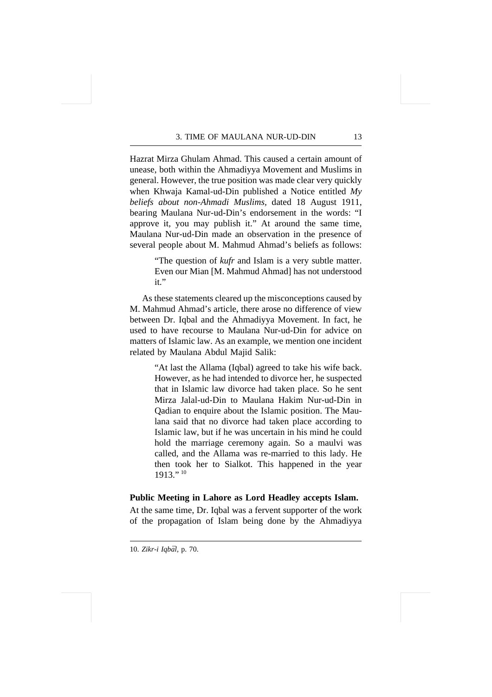Hazrat Mirza Ghulam Ahmad. This caused a certain amount of unease, both within the Ahmadiyya Movement and Muslims in general. However, the true position was made clear very quickly when Khwaja Kamal-ud-Din published a Notice entitled *My beliefs about non-Ahmadi Muslims,* dated 18 August 1911, bearing Maulana Nur-ud-Din's endorsement in the words: "I approve it, you may publish it." At around the same time, Maulana Nur-ud-Din made an observation in the presence of several people about M. Mahmud Ahmad's beliefs as follows:

> "The question of *kufr* and Islam is a very subtle matter. Even our Mian [M. Mahmud Ahmad] has not understood it."

As these statements cleared up the misconceptions caused by M. Mahmud Ahmad's article, there arose no difference of view between Dr. Iqbal and the Ahmadiyya Movement. In fact, he used to have recourse to Maulana Nur-ud-Din for advice on matters of Islamic law. As an example, we mention one incident related by Maulana Abdul Majid Salik:

> "At last the Allama (Iqbal) agreed to take his wife back. However, as he had intended to divorce her, he suspected that in Islamic law divorce had taken place. So he sent Mirza Jalal-ud-Din to Maulana Hakim Nur-ud-Din in Qadian to enquire about the Islamic position. The Maulana said that no divorce had taken place according to Islamic law, but if he was uncertain in his mind he could hold the marriage ceremony again. So a maulvi was called, and the Allama was re-married to this lady. He then took her to Sialkot. This happened in the year  $1913.$ " 10

#### **Public Meeting in Lahore as Lord Headley accepts Islam.**

At the same time, Dr. Iqbal was a fervent supporter of the work of the propagation of Islam being done by the Ahmadiyya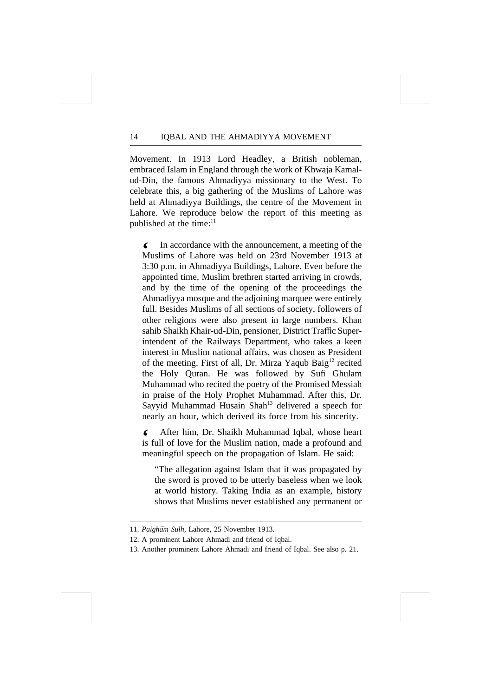Movement. In 1913 Lord Headley, a British nobleman, embraced Islam in England through the work of Khwaja Kamalud-Din, the famous Ahmadiyya missionary to the West. To celebrate this, a big gathering of the Muslims of Lahore was held at Ahmadiyya Buildings, the centre of the Movement in Lahore. We reproduce below the report of this meeting as published at the time: $11$ 

In accordance with the announcement, a meeting of the **'** Muslims of Lahore was held on 23rd November 1913 at 3:30 p.m. in Ahmadiyya Buildings, Lahore. Even before the appointed time, Muslim brethren started arriving in crowds, and by the time of the opening of the proceedings the Ahmadiyya mosque and the adjoining marquee were entirely full. Besides Muslims of all sections of society, followers of other religions were also present in large numbers. Khan sahib Shaikh Khair-ud-Din, pensioner, District Traffic Superintendent of the Railways Department, who takes a keen interest in Muslim national affairs, was chosen as President of the meeting. First of all, Dr. Mirza Yaqub Baig<sup>12</sup> recited the Holy Quran. He was followed by Sufi Ghulam Muhammad who recited the poetry of the Promised Messiah in praise of the Holy Prophet Muhammad. After this, Dr. Sayyid Muhammad Husain Shah<sup>13</sup> delivered a speech for nearly an hour, which derived its force from his sincerity.

After him, Dr. Shaikh Muhammad Iqbal, whose heart **'** is full of love for the Muslim nation, made a profound and meaningful speech on the propagation of Islam. He said:

"The allegation against Islam that it was propagated by the sword is proved to be utterly baseless when we look at world history. Taking India as an example, history shows that Muslims never established any permanent or

<sup>11.</sup> Paighām Sulh, Lahore, 25 November 1913.

<sup>12.</sup> A prominent Lahore Ahmadi and friend of Iqbal.

<sup>13.</sup> Another prominent Lahore Ahmadi and friend of Iqbal. See also p. 21.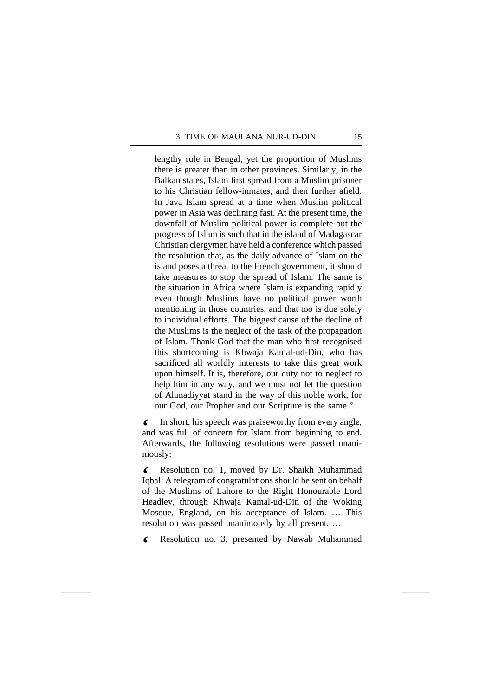lengthy rule in Bengal, yet the proportion of Muslims there is greater than in other provinces. Similarly, in the Balkan states, Islam first spread from a Muslim prisoner to his Christian fellow-inmates, and then further afield. In Java Islam spread at a time when Muslim political power in Asia was declining fast. At the present time, the downfall of Muslim political power is complete but the progress of Islam is such that in the island of Madagascar Christian clergymen have held a conference which passed the resolution that, as the daily advance of Islam on the island poses a threat to the French government, it should take measures to stop the spread of Islam. The same is the situation in Africa where Islam is expanding rapidly even though Muslims have no political power worth mentioning in those countries, and that too is due solely to individual efforts. The biggest cause of the decline of the Muslims is the neglect of the task of the propagation of Islam. Thank God that the man who first recognised this shortcoming is Khwaja Kamal-ud-Din, who has sacrificed all worldly interests to take this great work upon himself. It is, therefore, our duty not to neglect to help him in any way, and we must not let the question of Ahmadiyyat stand in the way of this noble work, for our God, our Prophet and our Scripture is the same."

In short, his speech was praiseworthy from every angle, **'** and was full of concern for Islam from beginning to end. Afterwards, the following resolutions were passed unanimously:

Resolution no. 1, moved by Dr. Shaikh Muhammad **'** Iqbal: A telegram of congratulations should be sent on behalf of the Muslims of Lahore to the Right Honourable Lord Headley, through Khwaja Kamal-ud-Din of the Woking Mosque, England, on his acceptance of Islam. … This resolution was passed unanimously by all present. …

Resolution no. 3, presented by Nawab Muhammad **'**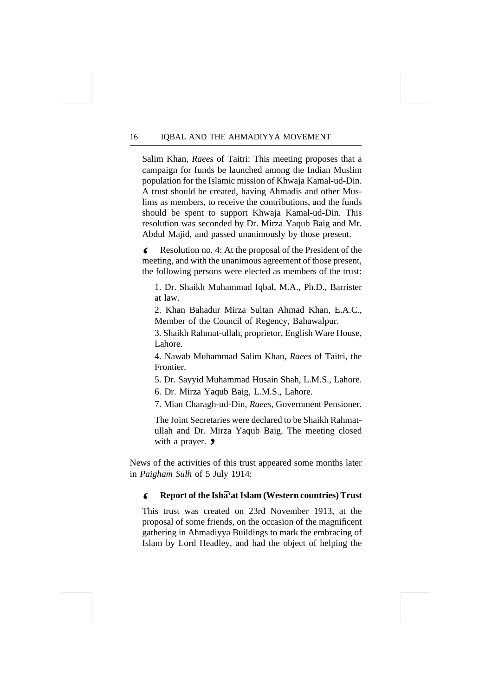Salim Khan, *Raees* of Taitri: This meeting proposes that a campaign for funds be launched among the Indian Muslim population for the Islamic mission of Khwaja Kamal-ud-Din. A trust should be created, having Ahmadis and other Muslims as members, to receive the contributions, and the funds should be spent to support Khwaja Kamal-ud-Din. This resolution was seconded by Dr. Mirza Yaqub Baig and Mr. Abdul Majid, and passed unanimously by those present.

Resolution no. 4: At the proposal of the President of the **'** meeting, and with the unanimous agreement of those present, the following persons were elected as members of the trust:

1. Dr. Shaikh Muhammad Iqbal, M.A., Ph.D., Barrister at law.

2. Khan Bahadur Mirza Sultan Ahmad Khan, E.A.C., Member of the Council of Regency, Bahawalpur.

3. Shaikh Rahmat-ullah, proprietor, English Ware House, Lahore.

4. Nawab Muhammad Salim Khan, *Raees* of Taitri, the Frontier.

5. Dr. Sayyid Muhammad Husain Shah, L.M.S., Lahore.

6. Dr. Mirza Yaqub Baig, L.M.S., Lahore.

7. Mian Charagh-ud-Din, *Raees,* Government Pensioner.

The Joint Secretaries were declared to be Shaikh Rahmatullah and Dr. Mirza Yaqub Baig. The meeting closed with a prayer.  $\overline{)}$ 

News of the activities of this trust appeared some months later in *Paighām Sulh* of 5 July 1914:

#### **Report of the Isha¯'at Islam (Western countries) Trust '**

This trust was created on 23rd November 1913, at the proposal of some friends, on the occasion of the magnificent gathering in Ahmadiyya Buildings to mark the embracing of Islam by Lord Headley, and had the object of helping the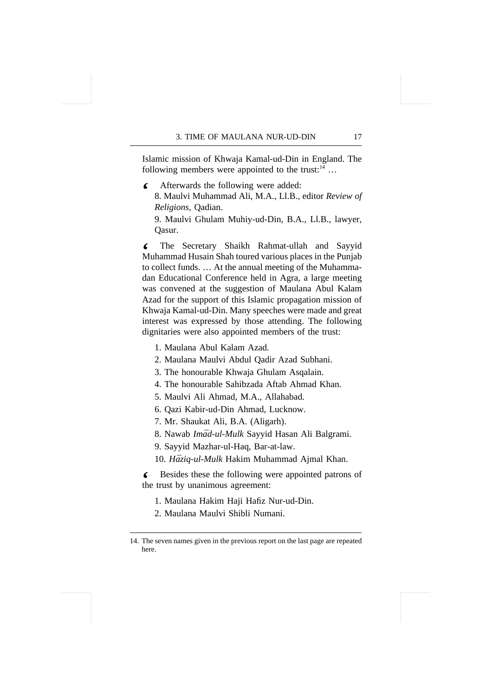Islamic mission of Khwaja Kamal-ud-Din in England. The following members were appointed to the trust: $14$  ...

Afterwards the following were added: **'** 8. Maulvi Muhammad Ali, M.A., Ll.B., editor *Review of*

*Religions,* Qadian.

9. Maulvi Ghulam Muhiy-ud-Din, B.A., Ll.B., lawyer, Qasur.

The Secretary Shaikh Rahmat-ullah and Sayyid **'** Muhammad Husain Shah toured various places in the Punjab to collect funds. … At the annual meeting of the Muhammadan Educational Conference held in Agra, a large meeting was convened at the suggestion of Maulana Abul Kalam Azad for the support of this Islamic propagation mission of Khwaja Kamal-ud-Din. Many speeches were made and great interest was expressed by those attending. The following dignitaries were also appointed members of the trust:

- 1. Maulana Abul Kalam Azad.
- 2. Maulana Maulvi Abdul Qadir Azad Subhani.
- 3. The honourable Khwaja Ghulam Asqalain.
- 4. The honourable Sahibzada Aftab Ahmad Khan.
- 5. Maulvi Ali Ahmad, M.A., Allahabad.
- 6. Qazi Kabir-ud-Din Ahmad, Lucknow.
- 7. Mr. Shaukat Ali, B.A. (Aligarh).
- 8. Nawab *Imād-ul-Mulk* Sayyid Hasan Ali Balgrami.
- 9. Sayyid Mazhar-ul-Haq, Bar-at-law.
- 10. *Hāziq-ul-Mulk* Hakim Muhammad Ajmal Khan.

Besides these the following were appointed patrons of **'** the trust by unanimous agreement:

- 1. Maulana Hakim Haji Hafiz Nur-ud-Din.
- 2. Maulana Maulvi Shibli Numani.

<sup>14.</sup> The seven names given in the previous report on the last page are repeated here.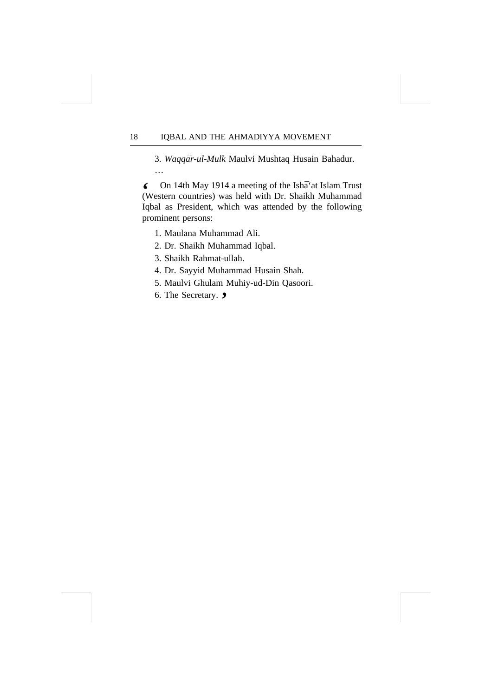3. *Waqqa¯r-ul-Mulk* Maulvi Mushtaq Husain Bahadur.

On 14th May 1914 a meeting of the Isha¯'at Islam Trust **'** (Western countries) was held with Dr. Shaikh Muhammad Iqbal as President, which was attended by the following prominent persons:

- 1. Maulana Muhammad Ali.
- 2. Dr. Shaikh Muhammad Iqbal.
- 3. Shaikh Rahmat-ullah.
- 4. Dr. Sayyid Muhammad Husain Shah.
- 5. Maulvi Ghulam Muhiy-ud-Din Qasoori.
- 6. The Secretary.**'**

…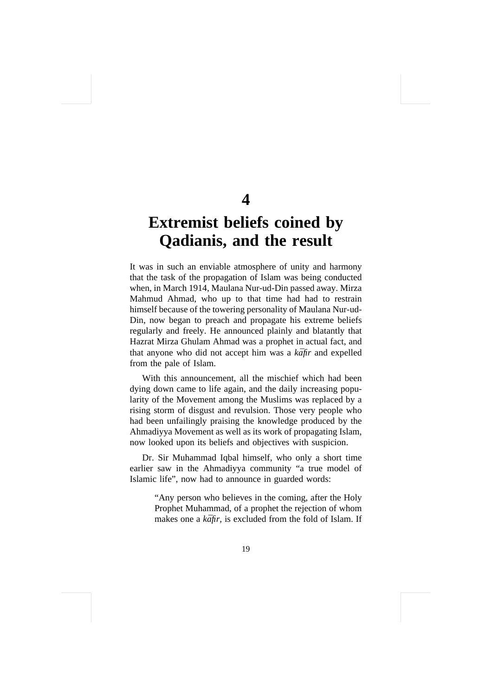### **4**

# **Extremist beliefs coined by Qadianis, and the result**

It was in such an enviable atmosphere of unity and harmony that the task of the propagation of Islam was being conducted when, in March 1914, Maulana Nur-ud-Din passed away. Mirza Mahmud Ahmad, who up to that time had had to restrain himself because of the towering personality of Maulana Nur-ud-Din, now began to preach and propagate his extreme beliefs regularly and freely. He announced plainly and blatantly that Hazrat Mirza Ghulam Ahmad was a prophet in actual fact, and that anyone who did not accept him was a *kafir* and expelled from the pale of Islam.

With this announcement, all the mischief which had been dying down came to life again, and the daily increasing popularity of the Movement among the Muslims was replaced by a rising storm of disgust and revulsion. Those very people who had been unfailingly praising the knowledge produced by the Ahmadiyya Movement as well as its work of propagating Islam, now looked upon its beliefs and objectives with suspicion.

Dr. Sir Muhammad Iqbal himself, who only a short time earlier saw in the Ahmadiyya community "a true model of Islamic life", now had to announce in guarded words:

> "Any person who believes in the coming, after the Holy Prophet Muhammad, of a prophet the rejection of whom makes one a *kafir*, is excluded from the fold of Islam. If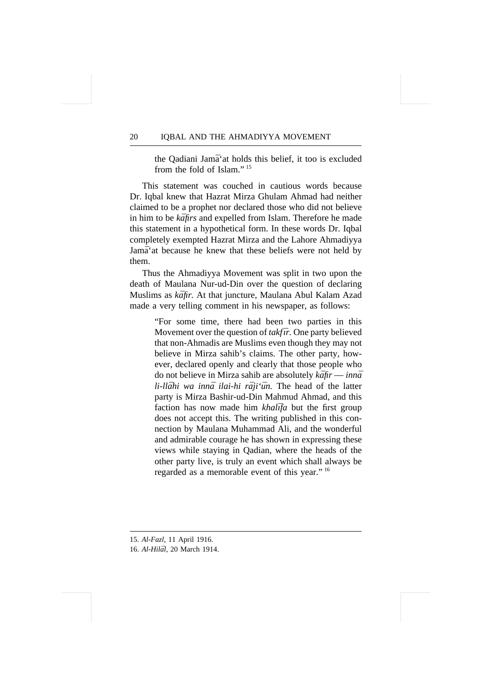the Qadiani Jamāʿat holds this belief, it too is excluded from the fold of Islam." <sup>15</sup>

This statement was couched in cautious words because Dr. Iqbal knew that Hazrat Mirza Ghulam Ahmad had neither claimed to be a prophet nor declared those who did not believe in him to be *kafirs* and expelled from Islam. Therefore he made this statement in a hypothetical form. In these words Dr. Iqbal completely exempted Hazrat Mirza and the Lahore Ahmadiyya Jama<sup>s</sup> at because he knew that these beliefs were not held by them.

Thus the Ahmadiyya Movement was split in two upon the death of Maulana Nur-ud-Din over the question of declaring Muslims as *kāfir*. At that juncture, Maulana Abul Kalam Azad made a very telling comment in his newspaper, as follows:

> "For some time, there had been two parties in this Movement over the question of *takfir*. One party believed that non-Ahmadis are Muslims even though they may not believe in Mirza sahib's claims. The other party, however, declared openly and clearly that those people who do not believe in Mirza sahib are absolutely  $k\bar{a}$ *fir* — *inna li-llāhi wa innā ilai-hi rāji'ūn*. The head of the latter party is Mirza Bashir-ud-Din Mahmud Ahmad, and this faction has now made him *khalīfa* but the first group does not accept this. The writing published in this connection by Maulana Muhammad Ali, and the wonderful and admirable courage he has shown in expressing these views while staying in Qadian, where the heads of the other party live, is truly an event which shall always be regarded as a memorable event of this year." <sup>16</sup>

<sup>15.</sup> *Al-Fazl,* 11 April 1916.

<sup>16.</sup> *Al-Hilāl*, 20 March 1914.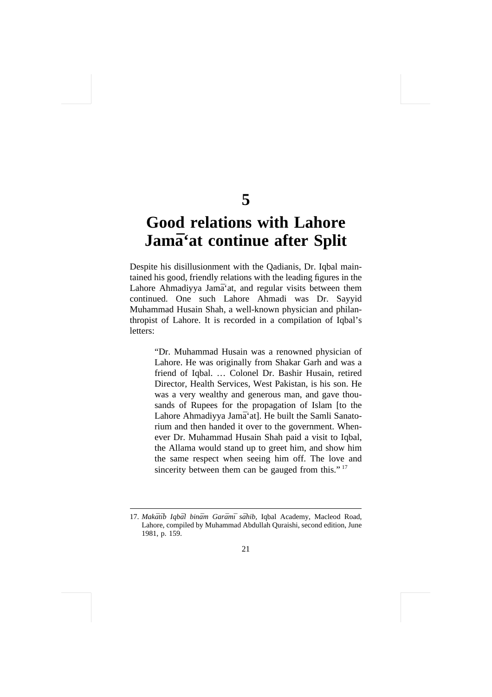### **5**

# **Good relations with Lahore Jama¯'at continue after Split**

Despite his disillusionment with the Qadianis, Dr. Iqbal maintained his good, friendly relations with the leading figures in the Lahore Ahmadiyya Jamāʻat, and regular visits between them continued. One such Lahore Ahmadi was Dr. Sayyid Muhammad Husain Shah, a well-known physician and philanthropist of Lahore. It is recorded in a compilation of Iqbal's letters:

> "Dr. Muhammad Husain was a renowned physician of Lahore. He was originally from Shakar Garh and was a friend of Iqbal. … Colonel Dr. Bashir Husain, retired Director, Health Services, West Pakistan, is his son. He was a very wealthy and generous man, and gave thousands of Rupees for the propagation of Islam [to the Lahore Ahmadiyya Jamāʿat]. He built the Samli Sanatorium and then handed it over to the government. Whenever Dr. Muhammad Husain Shah paid a visit to Iqbal, the Allama would stand up to greet him, and show him the same respect when seeing him off. The love and sincerity between them can be gauged from this."<sup>17</sup>

<sup>17.</sup> Makātīb Iqbāl binām Garāmī sāhib, Iqbal Academy, Macleod Road, Lahore, compiled by Muhammad Abdullah Quraishi, second edition, June 1981, p. 159.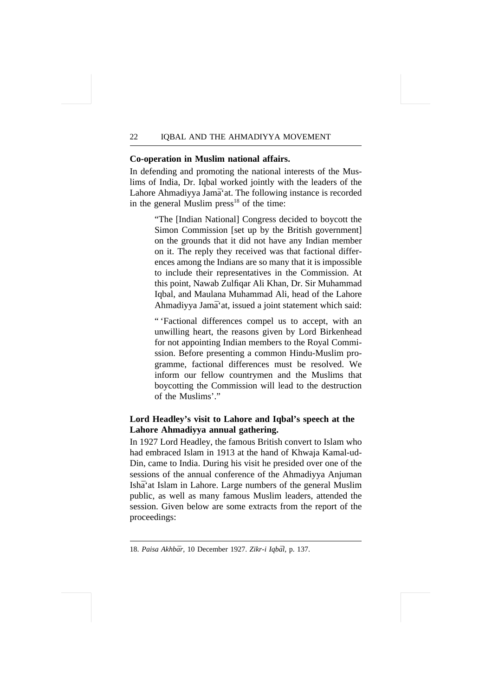#### **Co-operation in Muslim national affairs.**

In defending and promoting the national interests of the Muslims of India, Dr. Iqbal worked jointly with the leaders of the Lahore Ahmadiyya Jamāʿat. The following instance is recorded in the general Muslim press $^{18}$  of the time:

> "The [Indian National] Congress decided to boycott the Simon Commission [set up by the British government] on the grounds that it did not have any Indian member on it. The reply they received was that factional differences among the Indians are so many that it is impossible to include their representatives in the Commission. At this point, Nawab Zulfiqar Ali Khan, Dr. Sir Muhammad Iqbal, and Maulana Muhammad Ali, head of the Lahore Ahmadiyya Jamāʿat, issued a joint statement which said:

> " 'Factional differences compel us to accept, with an unwilling heart, the reasons given by Lord Birkenhead for not appointing Indian members to the Royal Commission. Before presenting a common Hindu-Muslim programme, factional differences must be resolved. We inform our fellow countrymen and the Muslims that boycotting the Commission will lead to the destruction of the Muslims'."

#### **Lord Headley's visit to Lahore and Iqbal's speech at the Lahore Ahmadiyya annual gathering.**

In 1927 Lord Headley, the famous British convert to Islam who had embraced Islam in 1913 at the hand of Khwaja Kamal-ud-Din, came to India. During his visit he presided over one of the sessions of the annual conference of the Ahmadiyya Anjuman Isha<sup>'</sup>at Islam in Lahore. Large numbers of the general Muslim public, as well as many famous Muslim leaders, attended the session. Given below are some extracts from the report of the proceedings:

<sup>18.</sup> Paisa Akhbār, 10 December 1927. Zikr-i Iqbāl, p. 137.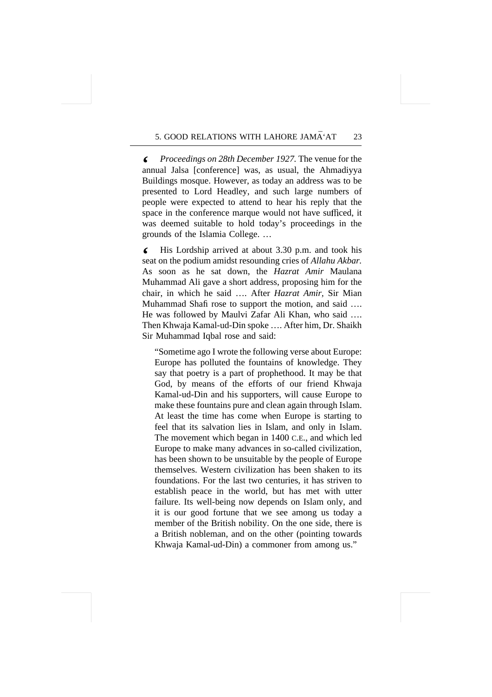*Proceedings on 28th December 1927.* The venue for the **'** annual Jalsa [conference] was, as usual, the Ahmadiyya Buildings mosque. However, as today an address was to be presented to Lord Headley, and such large numbers of people were expected to attend to hear his reply that the space in the conference marque would not have sufficed, it was deemed suitable to hold today's proceedings in the grounds of the Islamia College. …

His Lordship arrived at about 3.30 p.m. and took his **'** seat on the podium amidst resounding cries of *Allahu Akbar.* As soon as he sat down, the *Hazrat Amir* Maulana Muhammad Ali gave a short address, proposing him for the chair, in which he said …. After *Hazrat Amir,* Sir Mian Muhammad Shafi rose to support the motion, and said …. He was followed by Maulvi Zafar Ali Khan, who said …. Then Khwaja Kamal-ud-Din spoke …. After him, Dr. Shaikh Sir Muhammad Iqbal rose and said:

"Sometime ago I wrote the following verse about Europe: Europe has polluted the fountains of knowledge. They say that poetry is a part of prophethood. It may be that God, by means of the efforts of our friend Khwaja Kamal-ud-Din and his supporters, will cause Europe to make these fountains pure and clean again through Islam. At least the time has come when Europe is starting to feel that its salvation lies in Islam, and only in Islam. The movement which began in 1400 C.E., and which led Europe to make many advances in so-called civilization, has been shown to be unsuitable by the people of Europe themselves. Western civilization has been shaken to its foundations. For the last two centuries, it has striven to establish peace in the world, but has met with utter failure. Its well-being now depends on Islam only, and it is our good fortune that we see among us today a member of the British nobility. On the one side, there is a British nobleman, and on the other (pointing towards Khwaja Kamal-ud-Din) a commoner from among us."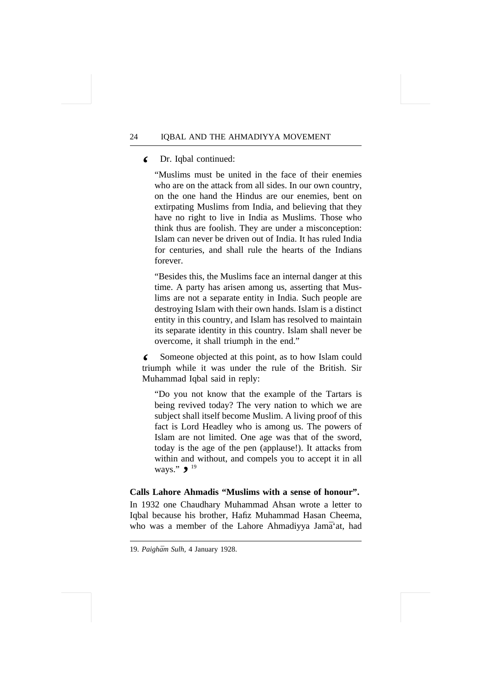Dr. Iqbal continued: **'**

"Muslims must be united in the face of their enemies who are on the attack from all sides. In our own country, on the one hand the Hindus are our enemies, bent on extirpating Muslims from India, and believing that they have no right to live in India as Muslims. Those who think thus are foolish. They are under a misconception: Islam can never be driven out of India. It has ruled India for centuries, and shall rule the hearts of the Indians forever.

"Besides this, the Muslims face an internal danger at this time. A party has arisen among us, asserting that Muslims are not a separate entity in India. Such people are destroying Islam with their own hands. Islam is a distinct entity in this country, and Islam has resolved to maintain its separate identity in this country. Islam shall never be overcome, it shall triumph in the end."

Someone objected at this point, as to how Islam could **'** triumph while it was under the rule of the British. Sir Muhammad Iqbal said in reply:

"Do you not know that the example of the Tartars is being revived today? The very nation to which we are subject shall itself become Muslim. A living proof of this fact is Lord Headley who is among us. The powers of Islam are not limited. One age was that of the sword, today is the age of the pen (applause!). It attacks from within and without, and compels you to accept it in all ways."  $9^{19}$ 

#### **Calls Lahore Ahmadis "Muslims with a sense of honour".**

In 1932 one Chaudhary Muhammad Ahsan wrote a letter to Iqbal because his brother, Hafiz Muhammad Hasan Cheema, who was a member of the Lahore Ahmadiyya Jamā`at, had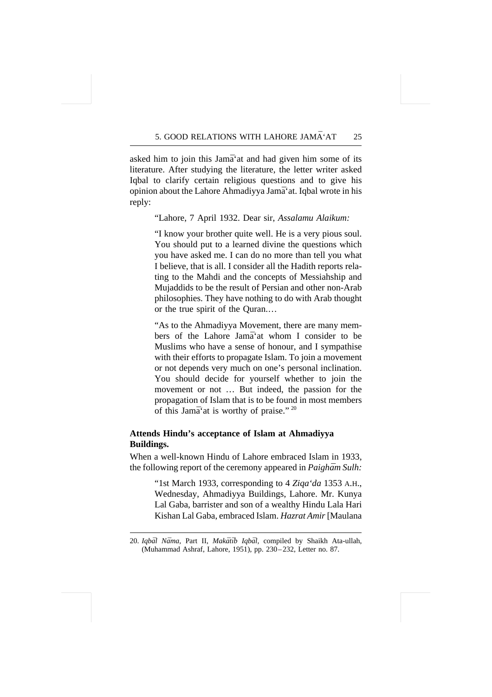asked him to join this Jama<sup>s</sup> at and had given him some of its literature. After studying the literature, the letter writer asked Iqbal to clarify certain religious questions and to give his opinion about the Lahore Ahmadiyya Jama¯'at. Iqbal wrote in his reply:

"Lahore, 7 April 1932. Dear sir, *Assalamu Alaikum:*

"I know your brother quite well. He is a very pious soul. You should put to a learned divine the questions which you have asked me. I can do no more than tell you what I believe, that is all. I consider all the Hadith reports relating to the Mahdi and the concepts of Messiahship and Mujaddids to be the result of Persian and other non-Arab philosophies. They have nothing to do with Arab thought or the true spirit of the Quran.…

"As to the Ahmadiyya Movement, there are many members of the Lahore Jama<sup>s</sup> at whom I consider to be Muslims who have a sense of honour, and I sympathise with their efforts to propagate Islam. To join a movement or not depends very much on one's personal inclination. You should decide for yourself whether to join the movement or not … But indeed, the passion for the propagation of Islam that is to be found in most members of this Jama<sup>s</sup> at is worthy of praise."  $20$ 

#### **Attends Hindu's acceptance of Islam at Ahmadiyya Buildings.**

When a well-known Hindu of Lahore embraced Islam in 1933, the following report of the ceremony appeared in *Paighām Sulh:* 

> "1st March 1933, corresponding to 4 *Ziqa'da* 1353 A.H., Wednesday, Ahmadiyya Buildings, Lahore. Mr. Kunya Lal Gaba, barrister and son of a wealthy Hindu Lala Hari Kishan Lal Gaba, embraced Islam. *Hazrat Amir*[Maulana

<sup>20.</sup> Iqbāl Nāma, Part II, Makātīb Iqbāl, compiled by Shaikh Ata-ullah, (Muhammad Ashraf, Lahore, 1951), pp. 230–232, Letter no. 87.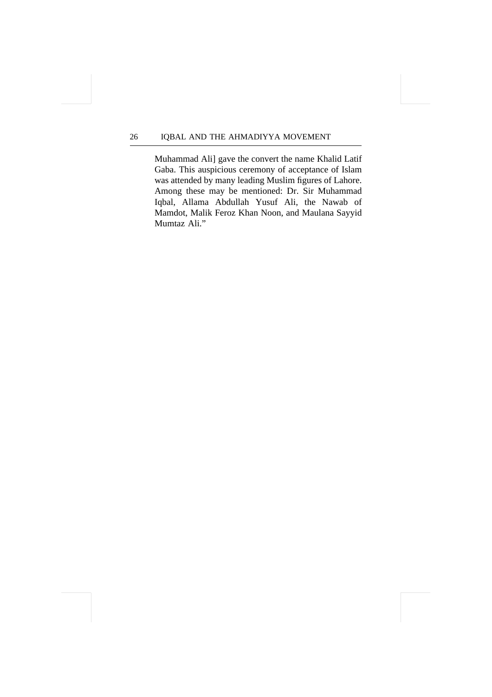Muhammad Ali] gave the convert the name Khalid Latif Gaba. This auspicious ceremony of acceptance of Islam was attended by many leading Muslim figures of Lahore. Among these may be mentioned: Dr. Sir Muhammad Iqbal, Allama Abdullah Yusuf Ali, the Nawab of Mamdot, Malik Feroz Khan Noon, and Maulana Sayyid Mumtaz Ali."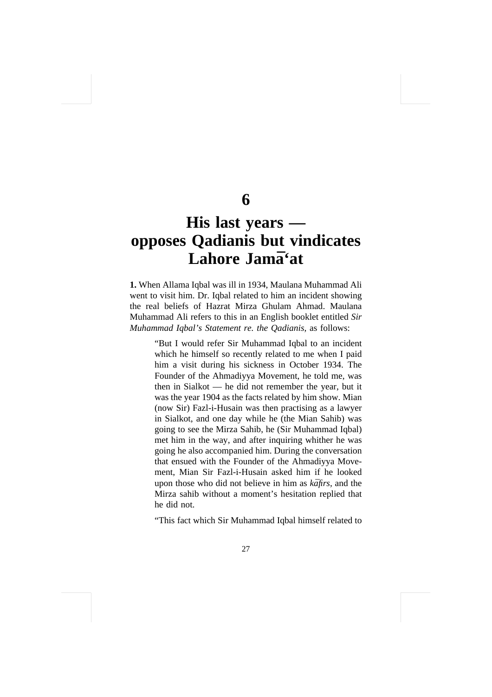### **6**

# **His last years opposes Qadianis but vindicates** Lahore Jama'at

**1.** When Allama Iqbal was ill in 1934, Maulana Muhammad Ali went to visit him. Dr. Iqbal related to him an incident showing the real beliefs of Hazrat Mirza Ghulam Ahmad. Maulana Muhammad Ali refers to this in an English booklet entitled *Sir Muhammad Iqbal's Statement re. the Qadianis,* as follows:

> "But I would refer Sir Muhammad Iqbal to an incident which he himself so recently related to me when I paid him a visit during his sickness in October 1934. The Founder of the Ahmadiyya Movement, he told me, was then in Sialkot — he did not remember the year, but it was the year 1904 as the facts related by him show. Mian (now Sir) Fazl-i-Husain was then practising as a lawyer in Sialkot, and one day while he (the Mian Sahib) was going to see the Mirza Sahib, he (Sir Muhammad Iqbal) met him in the way, and after inquiring whither he was going he also accompanied him. During the conversation that ensued with the Founder of the Ahmadiyya Movement, Mian Sir Fazl-i-Husain asked him if he looked upon those who did not believe in him as *kafirs*, and the Mirza sahib without a moment's hesitation replied that he did not.

> "This fact which Sir Muhammad Iqbal himself related to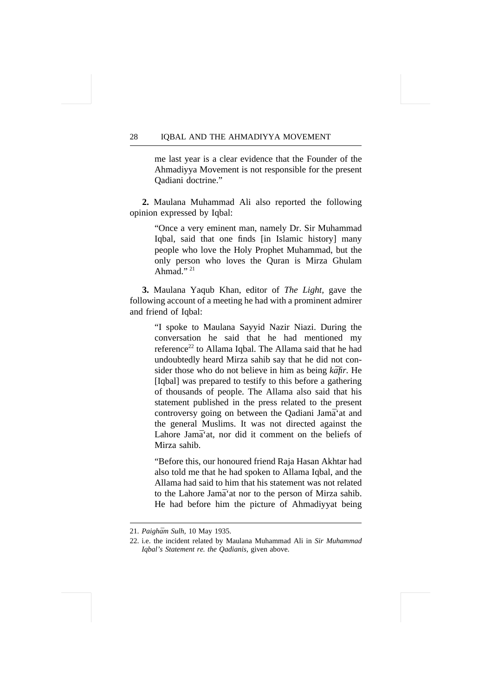me last year is a clear evidence that the Founder of the Ahmadiyya Movement is not responsible for the present Qadiani doctrine."

**2.** Maulana Muhammad Ali also reported the following opinion expressed by Iqbal:

> "Once a very eminent man, namely Dr. Sir Muhammad Iqbal, said that one finds [in Islamic history] many people who love the Holy Prophet Muhammad, but the only person who loves the Quran is Mirza Ghulam Ahmad $"$ <sup>21</sup>

**3.** Maulana Yaqub Khan, editor of *The Light,* gave the following account of a meeting he had with a prominent admirer and friend of Iqbal:

> "I spoke to Maulana Sayyid Nazir Niazi. During the conversation he said that he had mentioned my reference<sup>22</sup> to Allama Iqbal. The Allama said that he had undoubtedly heard Mirza sahib say that he did not consider those who do not believe in him as being *kafir*. He [Iqbal] was prepared to testify to this before a gathering of thousands of people. The Allama also said that his statement published in the press related to the present controversy going on between the Qadiani Jama´at and the general Muslims. It was not directed against the Lahore Jama<sup>s</sup> at, nor did it comment on the beliefs of Mirza sahib.

> "Before this, our honoured friend Raja Hasan Akhtar had also told me that he had spoken to Allama Iqbal, and the Allama had said to him that his statement was not related to the Lahore Jama<sup>s</sup> at nor to the person of Mirza sahib. He had before him the picture of Ahmadiyyat being

<sup>21.</sup> Paighām Sulh, 10 May 1935.

<sup>22.</sup> i.e. the incident related by Maulana Muhammad Ali in *Sir Muhammad Iqbal's Statement re. the Qadianis,* given above.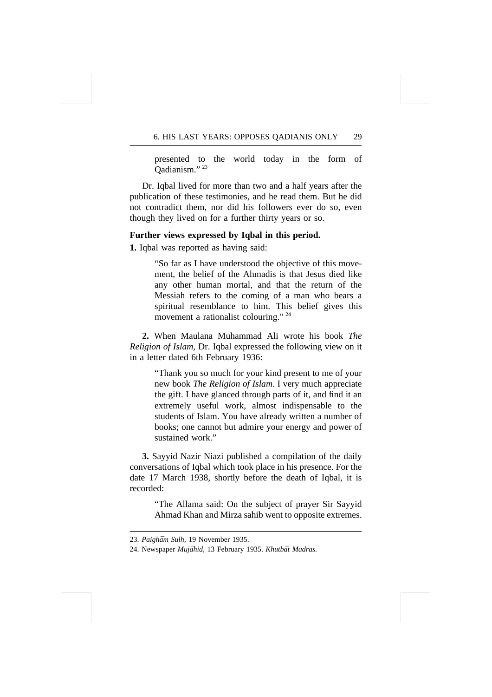presented to the world today in the form of Qadianism." <sup>23</sup>

Dr. Iqbal lived for more than two and a half years after the publication of these testimonies, and he read them. But he did not contradict them, nor did his followers ever do so, even though they lived on for a further thirty years or so.

#### **Further views expressed by Iqbal in this period.**

**1.** Iqbal was reported as having said:

"So far as I have understood the objective of this movement, the belief of the Ahmadis is that Jesus died like any other human mortal, and that the return of the Messiah refers to the coming of a man who bears a spiritual resemblance to him. This belief gives this movement a rationalist colouring."<sup>24</sup>

**2.** When Maulana Muhammad Ali wrote his book *The Religion of Islam,* Dr. Iqbal expressed the following view on it in a letter dated 6th February 1936:

> "Thank you so much for your kind present to me of your new book *The Religion of Islam*. I very much appreciate the gift. I have glanced through parts of it, and find it an extremely useful work, almost indispensable to the students of Islam. You have already written a number of books; one cannot but admire your energy and power of sustained work"

**3.** Sayyid Nazir Niazi published a compilation of the daily conversations of Iqbal which took place in his presence. For the date 17 March 1938, shortly before the death of Iqbal, it is recorded:

> "The Allama said: On the subject of prayer Sir Sayyid Ahmad Khan and Mirza sahib went to opposite extremes.

<sup>23.</sup> Paighām Sulh, 19 November 1935.

<sup>24.</sup> Newspaper *Mujāhid*, 13 February 1935. *Khutbāt Madras*.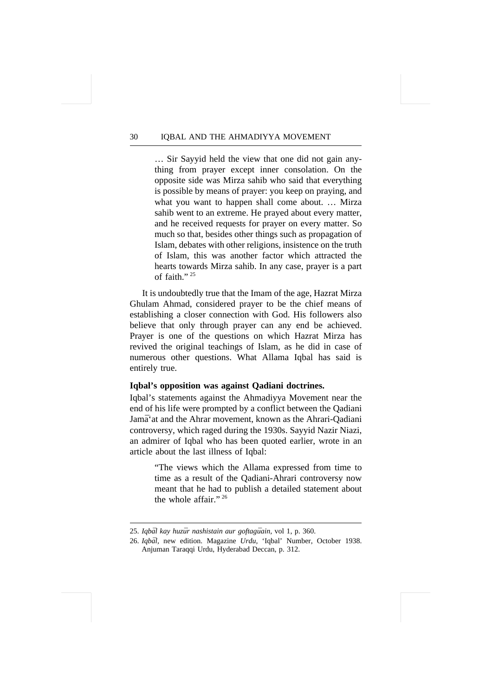… Sir Sayyid held the view that one did not gain anything from prayer except inner consolation. On the opposite side was Mirza sahib who said that everything is possible by means of prayer: you keep on praying, and what you want to happen shall come about. … Mirza sahib went to an extreme. He prayed about every matter, and he received requests for prayer on every matter. So much so that, besides other things such as propagation of Islam, debates with other religions, insistence on the truth of Islam, this was another factor which attracted the hearts towards Mirza sahib. In any case, prayer is a part of faith $"$ <sup>25</sup>

It is undoubtedly true that the Imam of the age, Hazrat Mirza Ghulam Ahmad, considered prayer to be the chief means of establishing a closer connection with God. His followers also believe that only through prayer can any end be achieved. Prayer is one of the questions on which Hazrat Mirza has revived the original teachings of Islam, as he did in case of numerous other questions. What Allama Iqbal has said is entirely true.

#### **Iqbal's opposition was against Qadiani doctrines.**

Iqbal's statements against the Ahmadiyya Movement near the end of his life were prompted by a conflict between the Qadiani Jamāʿat and the Ahrar movement, known as the Ahrari-Qadiani controversy, which raged during the 1930s. Sayyid Nazir Niazi, an admirer of Iqbal who has been quoted earlier, wrote in an article about the last illness of Iqbal:

> "The views which the Allama expressed from time to time as a result of the Qadiani-Ahrari controversy now meant that he had to publish a detailed statement about the whole affair." <sup>26</sup>

<sup>25.</sup> Iqbāl kay huzūr nashistain aur goftagūain, vol 1, p. 360.

<sup>26.</sup> *Iqbāl*, new edition. Magazine *Urdu*, 'Iqbal' Number, October 1938. Anjuman Taraqqi Urdu, Hyderabad Deccan, p. 312.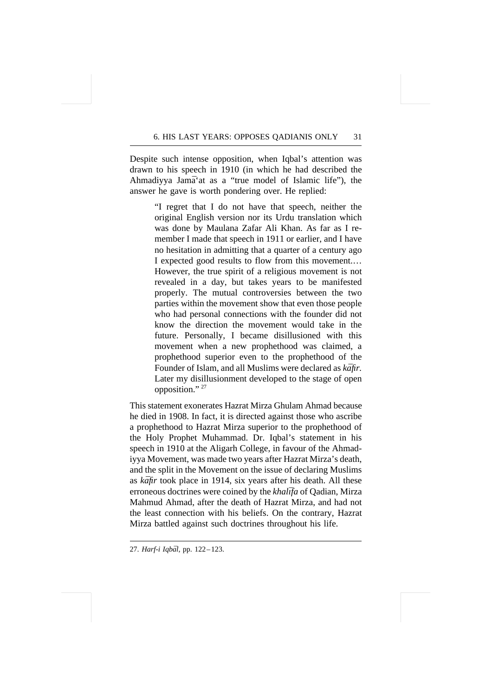Despite such intense opposition, when Iqbal's attention was drawn to his speech in 1910 (in which he had described the Ahmadiyya Jamā`at as a "true model of Islamic life"), the answer he gave is worth pondering over. He replied:

> "I regret that I do not have that speech, neither the original English version nor its Urdu translation which was done by Maulana Zafar Ali Khan. As far as I remember I made that speech in 1911 or earlier, and I have no hesitation in admitting that a quarter of a century ago I expected good results to flow from this movement.… However, the true spirit of a religious movement is not revealed in a day, but takes years to be manifested properly. The mutual controversies between the two parties within the movement show that even those people who had personal connections with the founder did not know the direction the movement would take in the future. Personally, I became disillusioned with this movement when a new prophethood was claimed, a prophethood superior even to the prophethood of the Founder of Islam, and all Muslims were declared as *kafir*. Later my disillusionment developed to the stage of open opposition." <sup>27</sup>

This statement exonerates Hazrat Mirza Ghulam Ahmad because he died in 1908. In fact, it is directed against those who ascribe a prophethood to Hazrat Mirza superior to the prophethood of the Holy Prophet Muhammad. Dr. Iqbal's statement in his speech in 1910 at the Aligarh College, in favour of the Ahmadiyya Movement, was made two years after Hazrat Mirza's death, and the split in the Movement on the issue of declaring Muslims as *kāfir* took place in 1914, six years after his death. All these erroneous doctrines were coined by the *khalīfa* of Qadian, Mirza Mahmud Ahmad, after the death of Hazrat Mirza, and had not the least connection with his beliefs. On the contrary, Hazrat Mirza battled against such doctrines throughout his life.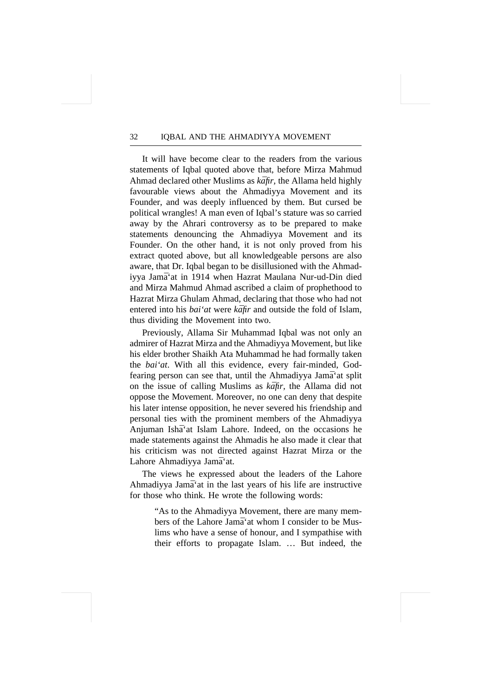It will have become clear to the readers from the various statements of Iqbal quoted above that, before Mirza Mahmud Ahmad declared other Muslims as  $k\bar{a}$ fir, the Allama held highly favourable views about the Ahmadiyya Movement and its Founder, and was deeply influenced by them. But cursed be political wrangles! A man even of Iqbal's stature was so carried away by the Ahrari controversy as to be prepared to make statements denouncing the Ahmadiyya Movement and its Founder. On the other hand, it is not only proved from his extract quoted above, but all knowledgeable persons are also aware, that Dr. Iqbal began to be disillusioned with the Ahmadiyya Jamāʿat in 1914 when Hazrat Maulana Nur-ud-Din died and Mirza Mahmud Ahmad ascribed a claim of prophethood to Hazrat Mirza Ghulam Ahmad, declaring that those who had not entered into his *bai'at* were *kafir* and outside the fold of Islam, thus dividing the Movement into two.

Previously, Allama Sir Muhammad Iqbal was not only an admirer of Hazrat Mirza and the Ahmadiyya Movement, but like his elder brother Shaikh Ata Muhammad he had formally taken the *bai'at*. With all this evidence, every fair-minded, Godfearing person can see that, until the Ahmadiyya Jamā'at split on the issue of calling Muslims as  $k\bar{a}$ fir, the Allama did not oppose the Movement. Moreover, no one can deny that despite his later intense opposition, he never severed his friendship and personal ties with the prominent members of the Ahmadiyya Anjuman Ishāʿat Islam Lahore. Indeed, on the occasions he made statements against the Ahmadis he also made it clear that his criticism was not directed against Hazrat Mirza or the Lahore Ahmadiyya Jamā'at.

The views he expressed about the leaders of the Lahore Ahmadiyya Jamāʻat in the last years of his life are instructive for those who think. He wrote the following words:

> "As to the Ahmadiyya Movement, there are many members of the Lahore Jama<sup>s</sup> at whom I consider to be Muslims who have a sense of honour, and I sympathise with their efforts to propagate Islam. … But indeed, the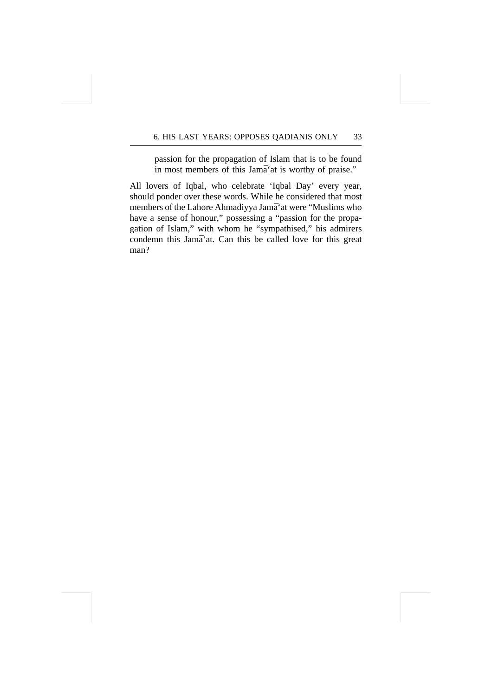passion for the propagation of Islam that is to be found in most members of this Jama'at is worthy of praise."

All lovers of Iqbal, who celebrate 'Iqbal Day' every year, should ponder over these words. While he considered that most members of the Lahore Ahmadiyya Jamāʿat were "Muslims who have a sense of honour," possessing a "passion for the propagation of Islam," with whom he "sympathised," his admirers condemn this Jama<sup>s</sup>at. Can this be called love for this great man?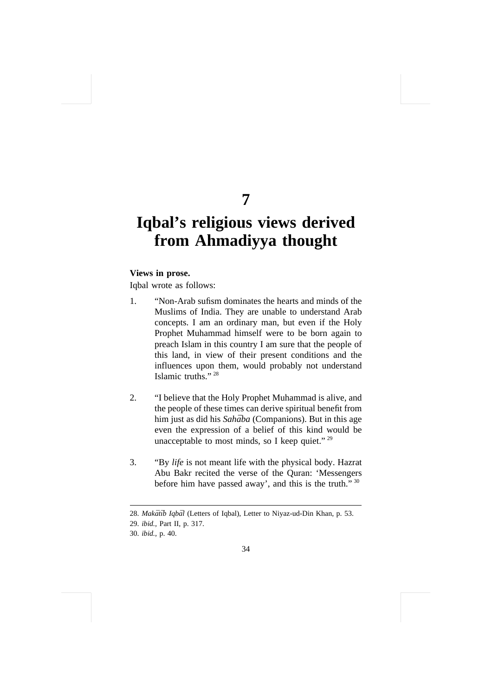### **7**

# **Iqbal's religious views derived from Ahmadiyya thought**

#### **Views in prose.**

Iqbal wrote as follows:

- 1. "Non-Arab sufism dominates the hearts and minds of the Muslims of India. They are unable to understand Arab concepts. I am an ordinary man, but even if the Holy Prophet Muhammad himself were to be born again to preach Islam in this country I am sure that the people of this land, in view of their present conditions and the influences upon them, would probably not understand Islamic truths." <sup>28</sup>
- 2. "I believe that the Holy Prophet Muhammad is alive, and the people of these times can derive spiritual benefit from him just as did his *Sahāba* (Companions). But in this age even the expression of a belief of this kind would be unacceptable to most minds, so I keep quiet."<sup>29</sup>
- 3. "By *life* is not meant life with the physical body. Hazrat Abu Bakr recited the verse of the Quran: 'Messengers before him have passed away', and this is the truth." <sup>30</sup>

<sup>28.</sup> *Makātīb Iqbāl* (Letters of Iqbal), Letter to Niyaz-ud-Din Khan, p. 53.

<sup>29.</sup> *ibid.,* Part II, p. 317.

<sup>30.</sup> *ibid.,* p. 40.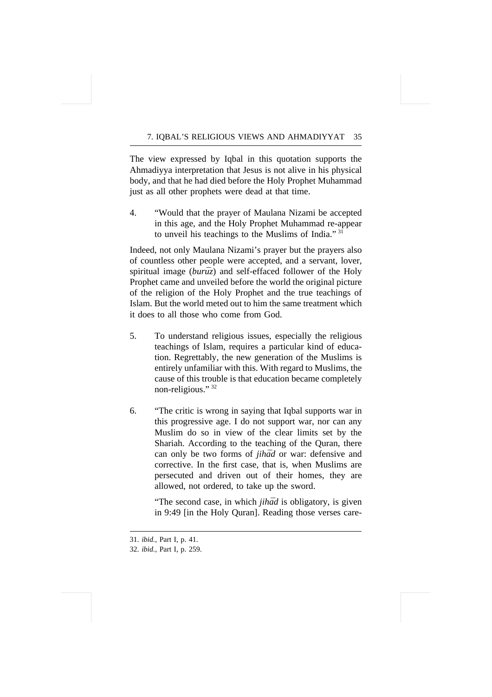The view expressed by Iqbal in this quotation supports the Ahmadiyya interpretation that Jesus is not alive in his physical body, and that he had died before the Holy Prophet Muhammad just as all other prophets were dead at that time.

4. "Would that the prayer of Maulana Nizami be accepted in this age, and the Holy Prophet Muhammad re-appear to unveil his teachings to the Muslims of India." <sup>31</sup>

Indeed, not only Maulana Nizami's prayer but the prayers also of countless other people were accepted, and a servant, lover, spiritual image (*burūz*) and self-effaced follower of the Holy Prophet came and unveiled before the world the original picture of the religion of the Holy Prophet and the true teachings of Islam. But the world meted out to him the same treatment which it does to all those who come from God.

- 5. To understand religious issues, especially the religious teachings of Islam, requires a particular kind of education. Regrettably, the new generation of the Muslims is entirely unfamiliar with this. With regard to Muslims, the cause of this trouble is that education became completely non-religious." 32
- 6. "The critic is wrong in saying that Iqbal supports war in this progressive age. I do not support war, nor can any Muslim do so in view of the clear limits set by the Shariah. According to the teaching of the Quran, there can only be two forms of *jihad* or war: defensive and corrective. In the first case, that is, when Muslims are persecuted and driven out of their homes, they are allowed, not ordered, to take up the sword.

"The second case, in which *jihad* is obligatory, is given in 9:49 [in the Holy Quran]. Reading those verses care-

<sup>31.</sup> *ibid.,* Part I, p. 41.

<sup>32.</sup> *ibid.,* Part I, p. 259.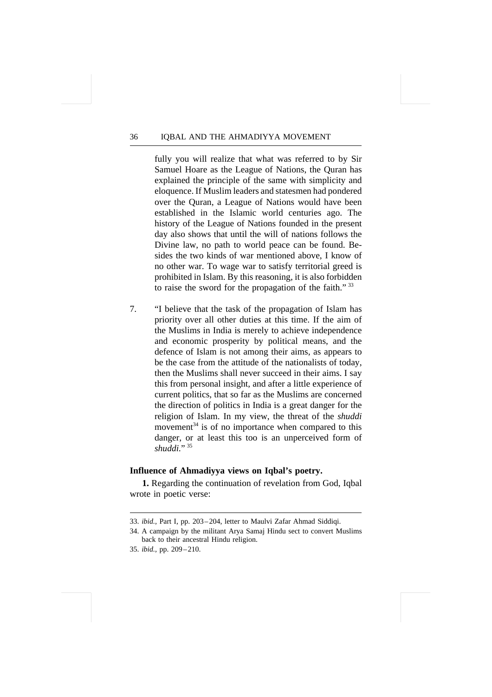fully you will realize that what was referred to by Sir Samuel Hoare as the League of Nations, the Quran has explained the principle of the same with simplicity and eloquence. If Muslim leaders and statesmen had pondered over the Quran, a League of Nations would have been established in the Islamic world centuries ago. The history of the League of Nations founded in the present day also shows that until the will of nations follows the Divine law, no path to world peace can be found. Besides the two kinds of war mentioned above, I know of no other war. To wage war to satisfy territorial greed is prohibited in Islam. By this reasoning, it is also forbidden to raise the sword for the propagation of the faith." <sup>33</sup>

7. "I believe that the task of the propagation of Islam has priority over all other duties at this time. If the aim of the Muslims in India is merely to achieve independence and economic prosperity by political means, and the defence of Islam is not among their aims, as appears to be the case from the attitude of the nationalists of today, then the Muslims shall never succeed in their aims. I say this from personal insight, and after a little experience of current politics, that so far as the Muslims are concerned the direction of politics in India is a great danger for the religion of Islam. In my view, the threat of the *shuddi* movement $34$  is of no importance when compared to this danger, or at least this too is an unperceived form of *shuddi*<sup>"</sup>

#### **Influence of Ahmadiyya views on Iqbal's poetry.**

**1.** Regarding the continuation of revelation from God, Iqbal wrote in poetic verse:

35. *ibid.,* pp. 209–210.

<sup>33.</sup> *ibid.,* Part I, pp. 203–204, letter to Maulvi Zafar Ahmad Siddiqi.

<sup>34.</sup> A campaign by the militant Arya Samaj Hindu sect to convert Muslims back to their ancestral Hindu religion.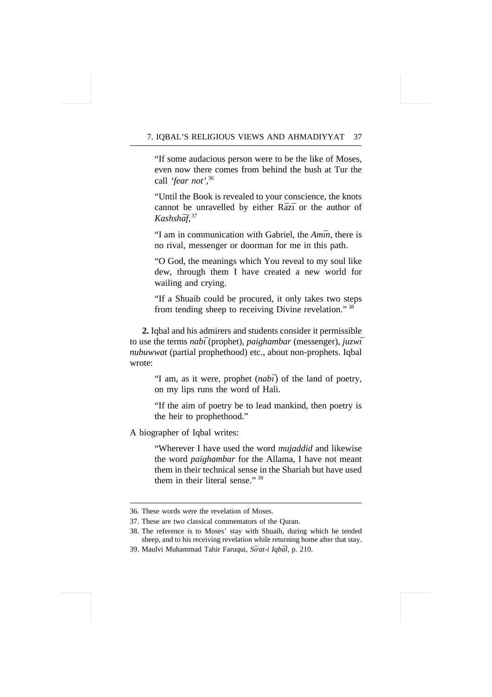"If some audacious person were to be the like of Moses, even now there comes from behind the bush at Tur the call *'fear not',*<sup>36</sup>

"Until the Book is revealed to your conscience, the knots cannot be unravelled by either Razi or the author of Kashshāf, <sup>37</sup>

"I am in communication with Gabriel, the *Amīn*, there is no rival, messenger or doorman for me in this path.

"O God, the meanings which You reveal to my soul like dew, through them I have created a new world for wailing and crying.

"If a Shuaib could be procured, it only takes two steps from tending sheep to receiving Divine revelation." <sup>38</sup>

**2.** Iqbal and his admirers and students consider it permissible to use the terms *nabı¯* (prophet), *paighambar* (messenger), *juzwı¯ nubuwwat* (partial prophethood) etc., about non-prophets. Iqbal wrote:

> "I am, as it were, prophet (*nabī*) of the land of poetry, on my lips runs the word of Hali.

> "If the aim of poetry be to lead mankind, then poetry is the heir to prophethood."

A biographer of Iqbal writes:

"Wherever I have used the word *mujaddid* and likewise the word *paighambar* for the Allama, I have not meant them in their technical sense in the Shariah but have used them in their literal sense."<sup>39</sup>

<sup>36.</sup> These words were the revelation of Moses.

<sup>37.</sup> These are two classical commentators of the Quran.

<sup>38.</sup> The reference is to Moses' stay with Shuaib, during which he tended sheep, and to his receiving revelation while returning home after that stay.

<sup>39.</sup> Maulvi Muhammad Tahir Faruqui, *Sīrat-i Iqbāl*, p. 210.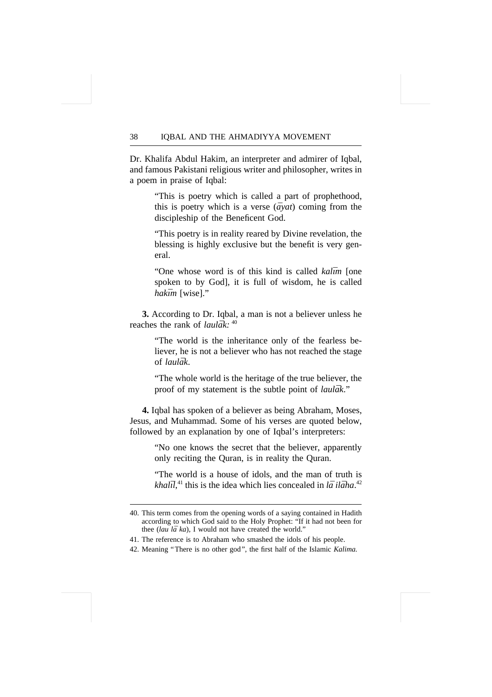Dr. Khalifa Abdul Hakim, an interpreter and admirer of Iqbal, and famous Pakistani religious writer and philosopher, writes in a poem in praise of Iqbal:

> "This is poetry which is called a part of prophethood, this is poetry which is a verse  $(\bar{a}yat)$  coming from the discipleship of the Beneficent God.

> "This poetry is in reality reared by Divine revelation, the blessing is highly exclusive but the benefit is very general.

> "One whose word is of this kind is called *kalīm* [one spoken to by God], it is full of wisdom, he is called *hakīm* [wise]."

**3.** According to Dr. Iqbal, a man is not a believer unless he reaches the rank of *laulak*<sup>-40</sup>

> "The world is the inheritance only of the fearless believer, he is not a believer who has not reached the stage of *laula¯k*.

> "The whole world is the heritage of the true believer, the proof of my statement is the subtle point of *laulak*."

**4.** Iqbal has spoken of a believer as being Abraham, Moses, Jesus, and Muhammad. Some of his verses are quoted below, followed by an explanation by one of Iqbal's interpreters:

> "No one knows the secret that the believer, apparently only reciting the Quran, is in reality the Quran.

> "The world is a house of idols, and the man of truth is  $khal\bar{u}$ <sup>41</sup>, this is the idea which lies concealed in  $l\bar{a}$  *ilaha*<sup>42</sup>

<sup>40.</sup> This term comes from the opening words of a saying contained in Hadith according to which God said to the Holy Prophet: "If it had not been for thee *(lau lā ka)*, I would not have created the world."

<sup>41.</sup> The reference is to Abraham who smashed the idols of his people.

<sup>42.</sup> Meaning "There is no other god", the first half of the Islamic *Kalima.*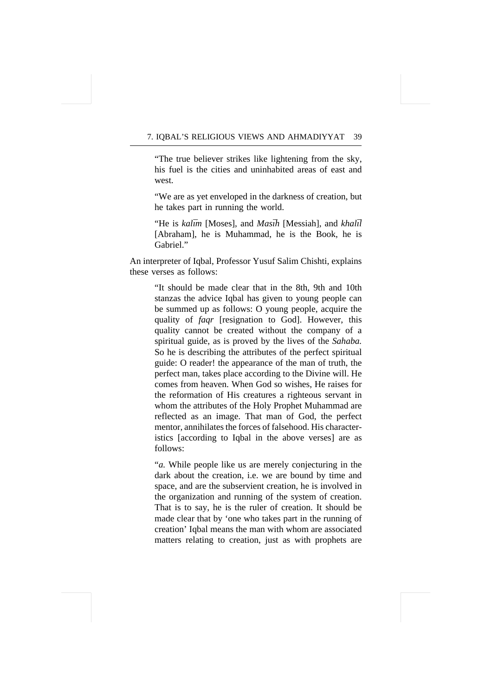"The true believer strikes like lightening from the sky, his fuel is the cities and uninhabited areas of east and west.

"We are as yet enveloped in the darkness of creation, but he takes part in running the world.

"He is *kalīm* [Moses], and *Masīh* [Messiah], and *khalīl* [Abraham], he is Muhammad, he is the Book, he is Gabriel."

An interpreter of Iqbal, Professor Yusuf Salim Chishti, explains these verses as follows:

> "It should be made clear that in the 8th, 9th and 10th stanzas the advice Iqbal has given to young people can be summed up as follows: O young people, acquire the quality of *faqr* [resignation to God]. However, this quality cannot be created without the company of a spiritual guide, as is proved by the lives of the *Sahaba.* So he is describing the attributes of the perfect spiritual guide: O reader! the appearance of the man of truth, the perfect man, takes place according to the Divine will. He comes from heaven. When God so wishes, He raises for the reformation of His creatures a righteous servant in whom the attributes of the Holy Prophet Muhammad are reflected as an image. That man of God, the perfect mentor, annihilates the forces of falsehood. His characteristics [according to Iqbal in the above verses] are as follows:

> "*a.* While people like us are merely conjecturing in the dark about the creation, i.e. we are bound by time and space, and are the subservient creation, he is involved in the organization and running of the system of creation. That is to say, he is the ruler of creation. It should be made clear that by 'one who takes part in the running of creation' Iqbal means the man with whom are associated matters relating to creation, just as with prophets are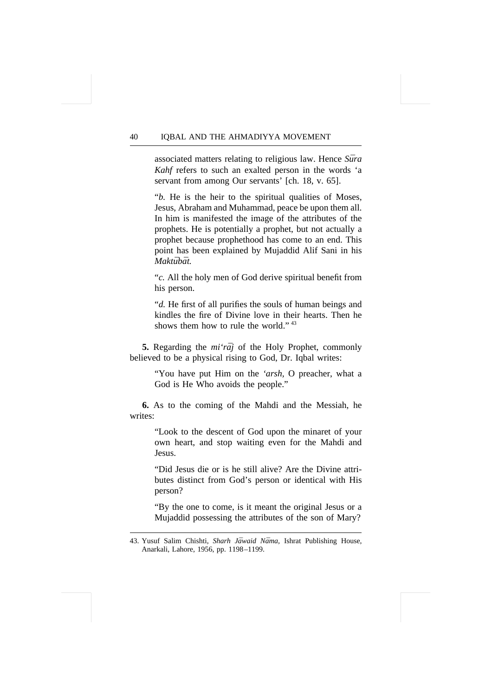associated matters relating to religious law. Hence *Sūra Kahf* refers to such an exalted person in the words 'a servant from among Our servants' [ch. 18, v. 65].

"*b.* He is the heir to the spiritual qualities of Moses, Jesus, Abraham and Muhammad, peace be upon them all. In him is manifested the image of the attributes of the prophets. He is potentially a prophet, but not actually a prophet because prophethood has come to an end. This point has been explained by Mujaddid Alif Sani in his *Maktu¯ba¯t.*

"*c.* All the holy men of God derive spiritual benefit from his person.

"*d.* He first of all purifies the souls of human beings and kindles the fire of Divine love in their hearts. Then he shows them how to rule the world."<sup>43</sup>

**5.** Regarding the *mi'raj* of the Holy Prophet, commonly believed to be a physical rising to God, Dr. Iqbal writes:

> "You have put Him on the *'arsh,* O preacher, what a God is He Who avoids the people."

**6.** As to the coming of the Mahdi and the Messiah, he writes:

> "Look to the descent of God upon the minaret of your own heart, and stop waiting even for the Mahdi and Jesus.

> "Did Jesus die or is he still alive? Are the Divine attributes distinct from God's person or identical with His person?

> "By the one to come, is it meant the original Jesus or a Mujaddid possessing the attributes of the son of Mary?

<sup>43.</sup> Yusuf Salim Chishti, Sharh Jāwaid Nāma, Ishrat Publishing House, Anarkali, Lahore, 1956, pp. 1198–1199.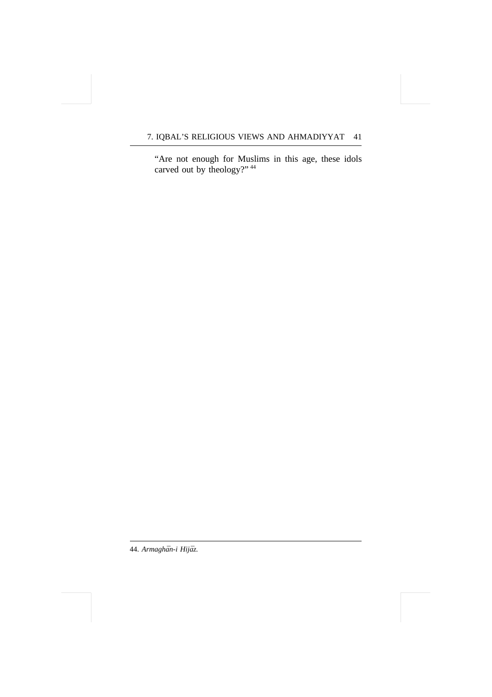"Are not enough for Muslims in this age, these idols carved out by theology?" <sup>44</sup>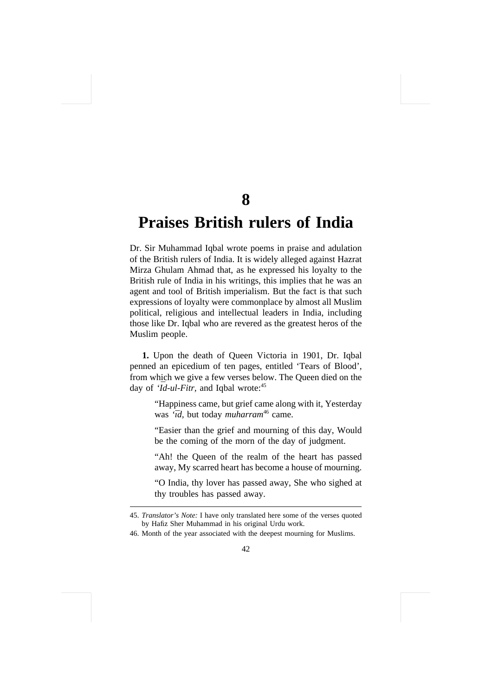**8**

### **Praises British rulers of India**

Dr. Sir Muhammad Iqbal wrote poems in praise and adulation of the British rulers of India. It is widely alleged against Hazrat Mirza Ghulam Ahmad that, as he expressed his loyalty to the British rule of India in his writings, this implies that he was an agent and tool of British imperialism. But the fact is that such expressions of loyalty were commonplace by almost all Muslim political, religious and intellectual leaders in India, including those like Dr. Iqbal who are revered as the greatest heros of the Muslim people.

**1.** Upon the death of Queen Victoria in 1901, Dr. Iqbal penned an epicedium of ten pages, entitled 'Tears of Blood', from which we give a few verses below. The Queen died on the day of '*Id-ul-Fitr*, and Iqbal wrote:<sup>45</sup>

> "Happiness came, but grief came along with it, Yesterday was 'īd, but today *muharram*<sup>46</sup> came.

> "Easier than the grief and mourning of this day, Would be the coming of the morn of the day of judgment.

> "Ah! the Queen of the realm of the heart has passed away, My scarred heart has become a house of mourning.

> "O India, thy lover has passed away, She who sighed at thy troubles has passed away.

<sup>45.</sup> *Translator's Note:* I have only translated here some of the verses quoted by Hafiz Sher Muhammad in his original Urdu work.

<sup>46.</sup> Month of the year associated with the deepest mourning for Muslims.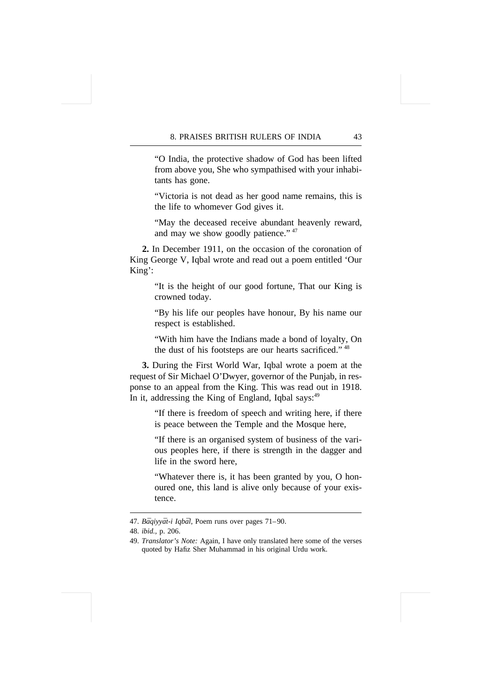"O India, the protective shadow of God has been lifted from above you, She who sympathised with your inhabitants has gone.

"Victoria is not dead as her good name remains, this is the life to whomever God gives it.

"May the deceased receive abundant heavenly reward, and may we show goodly patience." <sup>47</sup>

**2.** In December 1911, on the occasion of the coronation of King George V, Iqbal wrote and read out a poem entitled 'Our King':

> "It is the height of our good fortune, That our King is crowned today.

> "By his life our peoples have honour, By his name our respect is established.

> "With him have the Indians made a bond of loyalty, On the dust of his footsteps are our hearts sacrificed."<sup>48</sup>

**3.** During the First World War, Iqbal wrote a poem at the request of Sir Michael O'Dwyer, governor of the Punjab, in response to an appeal from the King. This was read out in 1918. In it, addressing the King of England, Iqbal says: $49$ 

> "If there is freedom of speech and writing here, if there is peace between the Temple and the Mosque here,

> "If there is an organised system of business of the various peoples here, if there is strength in the dagger and life in the sword here,

> "Whatever there is, it has been granted by you, O honoured one, this land is alive only because of your existence.

<sup>47.</sup> *Bāqiyyāt-i Iqbāl*, Poem runs over pages 71–90.

<sup>48.</sup> *ibid.,* p. 206.

<sup>49.</sup> *Translator's Note:* Again, I have only translated here some of the verses quoted by Hafiz Sher Muhammad in his original Urdu work.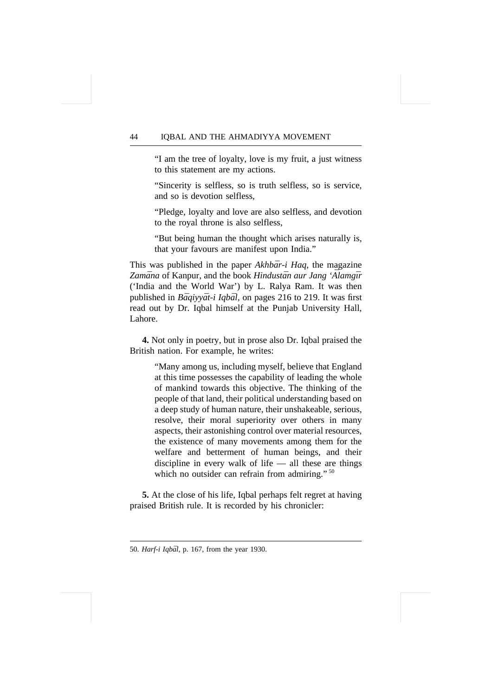"I am the tree of loyalty, love is my fruit, a just witness to this statement are my actions.

"Sincerity is selfless, so is truth selfless, so is service, and so is devotion selfless,

"Pledge, loyalty and love are also selfless, and devotion to the royal throne is also selfless,

"But being human the thought which arises naturally is, that your favours are manifest upon India."

This was published in the paper *Akhbār-i Haq*, the magazine *Zamāna* of Kanpur, and the book *Hindustān aur Jang 'Alamgīr* ('India and the World War') by L. Ralya Ram. It was then published in *Bāqiyyāt-i Iqbāl*, on pages 216 to 219. It was first read out by Dr. Iqbal himself at the Punjab University Hall, Lahore.

**4.** Not only in poetry, but in prose also Dr. Iqbal praised the British nation. For example, he writes:

> "Many among us, including myself, believe that England at this time possesses the capability of leading the whole of mankind towards this objective. The thinking of the people of that land, their political understanding based on a deep study of human nature, their unshakeable, serious, resolve, their moral superiority over others in many aspects, their astonishing control over material resources, the existence of many movements among them for the welfare and betterment of human beings, and their discipline in every walk of life — all these are things which no outsider can refrain from admiring." <sup>50</sup>

**5.** At the close of his life, Iqbal perhaps felt regret at having praised British rule. It is recorded by his chronicler:

#### 50. *Harf-i Iqbāl*, p. 167, from the year 1930.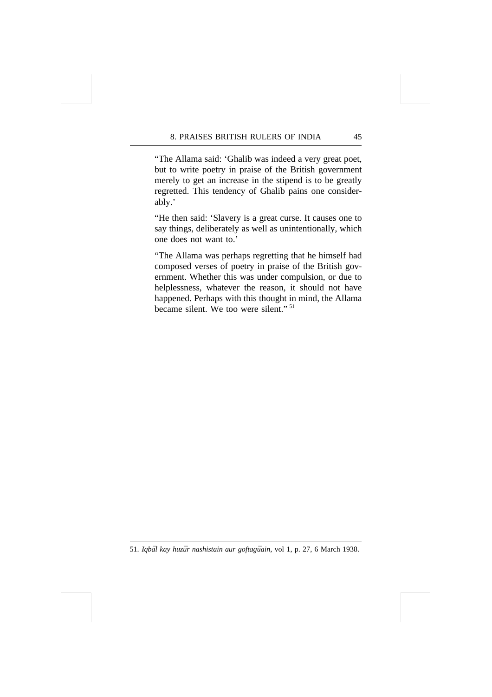"The Allama said: 'Ghalib was indeed a very great poet, but to write poetry in praise of the British government merely to get an increase in the stipend is to be greatly regretted. This tendency of Ghalib pains one considerably.'

"He then said: 'Slavery is a great curse. It causes one to say things, deliberately as well as unintentionally, which one does not want to.'

"The Allama was perhaps regretting that he himself had composed verses of poetry in praise of the British government. Whether this was under compulsion, or due to helplessness, whatever the reason, it should not have happened. Perhaps with this thought in mind, the Allama became silent. We too were silent." <sup>51</sup>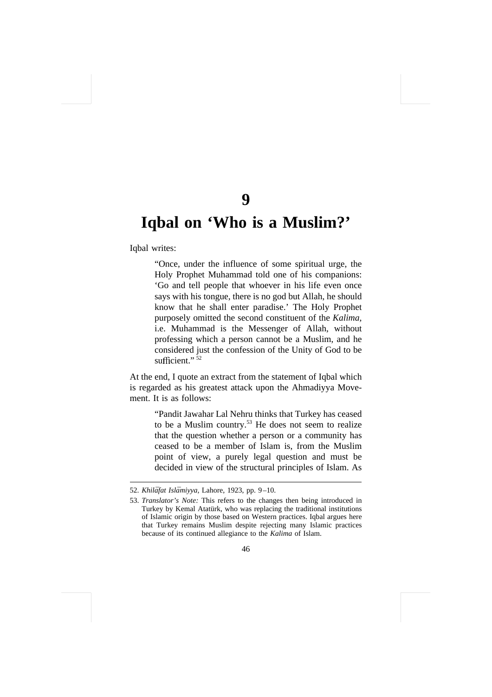# **9**

# **Iqbal on 'Who is a Muslim?'**

Iqbal writes:

"Once, under the influence of some spiritual urge, the Holy Prophet Muhammad told one of his companions: 'Go and tell people that whoever in his life even once says with his tongue, there is no god but Allah, he should know that he shall enter paradise.' The Holy Prophet purposely omitted the second constituent of the *Kalima,* i.e. Muhammad is the Messenger of Allah, without professing which a person cannot be a Muslim, and he considered just the confession of the Unity of God to be sufficient." $52$ 

At the end, I quote an extract from the statement of Iqbal which is regarded as his greatest attack upon the Ahmadiyya Movement. It is as follows:

> "Pandit Jawahar Lal Nehru thinks that Turkey has ceased to be a Muslim country.53 He does not seem to realize that the question whether a person or a community has ceased to be a member of Islam is, from the Muslim point of view, a purely legal question and must be decided in view of the structural principles of Islam. As

<sup>52.</sup> *Khilāfat Islāmiyya*, Lahore, 1923, pp. 9–10.

<sup>53.</sup> *Translator's Note:* This refers to the changes then being introduced in Turkey by Kemal Atatürk, who was replacing the traditional institutions of Islamic origin by those based on Western practices. Iqbal argues here that Turkey remains Muslim despite rejecting many Islamic practices because of its continued allegiance to the *Kalima* of Islam.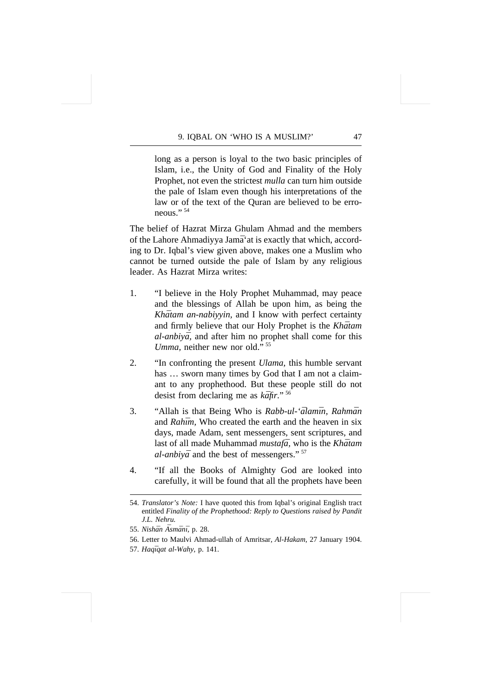long as a person is loyal to the two basic principles of Islam, i.e., the Unity of God and Finality of the Holy Prophet, not even the strictest *mulla* can turn him outside the pale of Islam even though his interpretations of the law or of the text of the Quran are believed to be erroneous $"$ <sup>54</sup>

The belief of Hazrat Mirza Ghulam Ahmad and the members of the Lahore Ahmadiyya Jamāʿat is exactly that which, according to Dr. Iqbal's view given above, makes one a Muslim who cannot be turned outside the pale of Islam by any religious leader. As Hazrat Mirza writes:

- 1. "I believe in the Holy Prophet Muhammad, may peace and the blessings of Allah be upon him, as being the *Khātam an-nabiyyin*, and I know with perfect certainty and firmly believe that our Holy Prophet is the *Khātam al-anbiya*, and after him no prophet shall come for this *Umma*, neither new nor old."<sup>55</sup>
- 2. "In confronting the present *Ulama,* this humble servant has  $\ldots$  sworn many times by God that I am not a claimant to any prophethood. But these people still do not desist from declaring me as  $k\bar{a}$ fir."<sup>56</sup>
- 3. "Allah is that Being Who is *Rabb-ul-'ālamīn*, *Rahmān* and *Rahīm*, Who created the earth and the heaven in six days, made Adam, sent messengers, sent scriptures, and last of all made Muhammad *mustafā*, who is the *Khātam al-anbiya* and the best of messengers."<sup>57</sup>
- 4. "If all the Books of Almighty God are looked into carefully, it will be found that all the prophets have been

<sup>54.</sup> *Translator's Note:* I have quoted this from Iqbal's original English tract entitled *Finality of the Prophethood: Reply to Questions raised by Pandit J.L. Nehru.*

<sup>55.</sup> *Nisha¯n A¯sma¯nı¯,* p. 28.

<sup>56.</sup> Letter to Maulvi Ahmad-ullah of Amritsar, *Al-Hakam,* 27 January 1904.

<sup>57.</sup> *Haqı¯qat al-Wahy,* p. 141.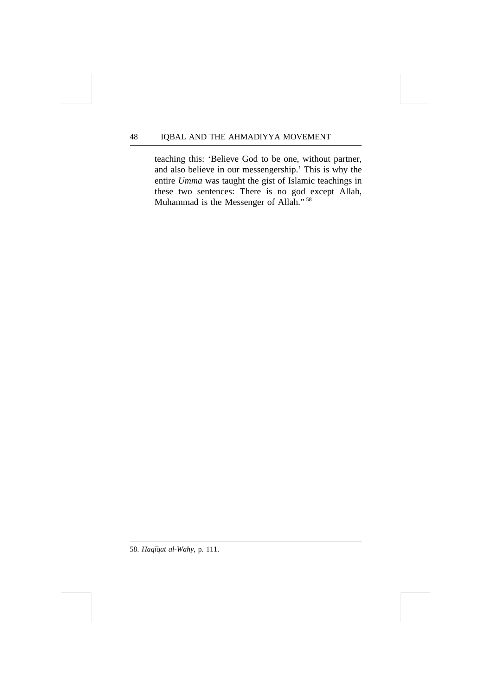teaching this: 'Believe God to be one, without partner, and also believe in our messengership.' This is why the entire *Umma* was taught the gist of Islamic teachings in these two sentences: There is no god except Allah, Muhammad is the Messenger of Allah." <sup>58</sup>